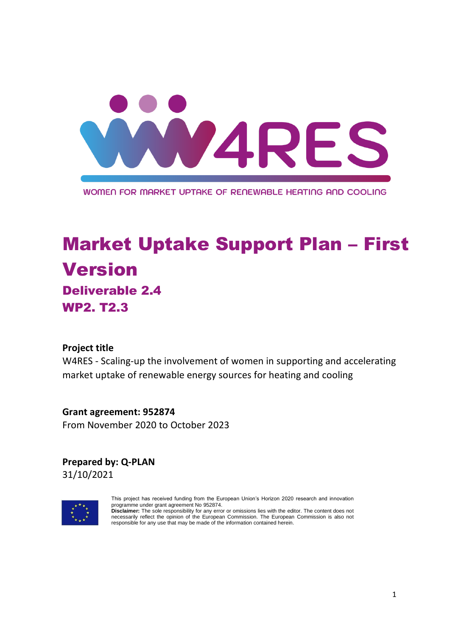

# Market Uptake Support Plan – First Version

Deliverable 2.4 WP2. T2.3

#### **Project title**

W4RES - Scaling-up the involvement of women in supporting and accelerating market uptake of renewable energy sources for heating and cooling

**Grant agreement: 952874** From November 2020 to October 2023

**Prepared by: Q-PLAN**

31/10/2021



This project has received funding from the European Union's Horizon 2020 research and innovation programme under grant agreement No 952874. **Disclaimer:** The sole responsibility for any error or omissions lies with the editor. The content does not necessarily reflect the opinion of the European Commission. The European Commission is also not responsible for any use that may be made of the information contained herein.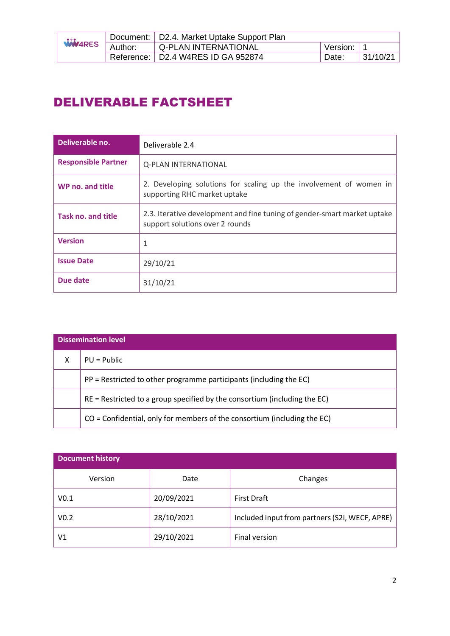|               |         | Document:   D2.4. Market Uptake Support Plan |            |          |
|---------------|---------|----------------------------------------------|------------|----------|
| <b>WW4RES</b> | Author: | Q-PLAN INTERNATIONAL                         | Version: I |          |
|               |         | Reference:   D2.4 W4RES ID GA 952874         | Date:      | 31/10/21 |

#### DELIVERABLE FACTSHEET

| Deliverable no.            | Deliverable 2.4                                                                                             |
|----------------------------|-------------------------------------------------------------------------------------------------------------|
| <b>Responsible Partner</b> | Q-PLAN INTERNATIONAL                                                                                        |
| WP no. and title           | 2. Developing solutions for scaling up the involvement of women in<br>supporting RHC market uptake          |
| <b>Task no. and title</b>  | 2.3. Iterative development and fine tuning of gender-smart market uptake<br>support solutions over 2 rounds |
| <b>Version</b>             | 1                                                                                                           |
| <b>Issue Date</b>          | 29/10/21                                                                                                    |
| Due date                   | 31/10/21                                                                                                    |

| <b>Dissemination level</b>                                                  |  |  |  |
|-----------------------------------------------------------------------------|--|--|--|
| $PU = Public$                                                               |  |  |  |
| $PP$ = Restricted to other programme participants (including the EC)        |  |  |  |
| $RE =$ Restricted to a group specified by the consortium (including the EC) |  |  |  |
| CO = Confidential, only for members of the consortium (including the EC)    |  |  |  |

| <b>Document history</b> |            |                                                |  |  |  |
|-------------------------|------------|------------------------------------------------|--|--|--|
| Version                 | Date       | Changes                                        |  |  |  |
| V <sub>0.1</sub>        | 20/09/2021 | <b>First Draft</b>                             |  |  |  |
| V <sub>0.2</sub>        | 28/10/2021 | Included input from partners (S2i, WECF, APRE) |  |  |  |
| V1                      | 29/10/2021 | Final version                                  |  |  |  |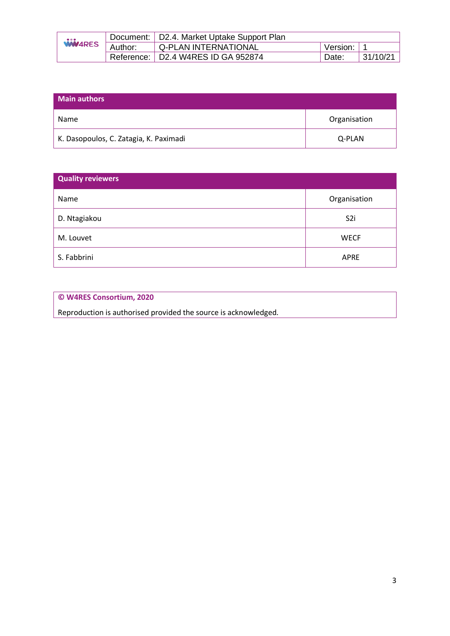|               |         | Document:   D2.4. Market Uptake Support Plan |          |          |
|---------------|---------|----------------------------------------------|----------|----------|
| <b>WW4RES</b> | Author: | Q-PLAN INTERNATIONAL                         | Version: |          |
|               |         | Reference:   D2.4 W4RES ID GA 952874         | Date:    | 31/10/21 |

| <b>Main authors</b>                    |              |  |  |
|----------------------------------------|--------------|--|--|
| Name                                   | Organisation |  |  |
| K. Dasopoulos, C. Zatagia, K. Paximadi | Q-PLAN       |  |  |

| <b>Quality reviewers</b> |                 |
|--------------------------|-----------------|
| Name                     | Organisation    |
| D. Ntagiakou             | S <sub>2i</sub> |
| M. Louvet                | <b>WECF</b>     |
| S. Fabbrini              | <b>APRE</b>     |

| © W4RES Consortium. 2020                                        |  |
|-----------------------------------------------------------------|--|
| Reproduction is authorised provided the source is acknowledged. |  |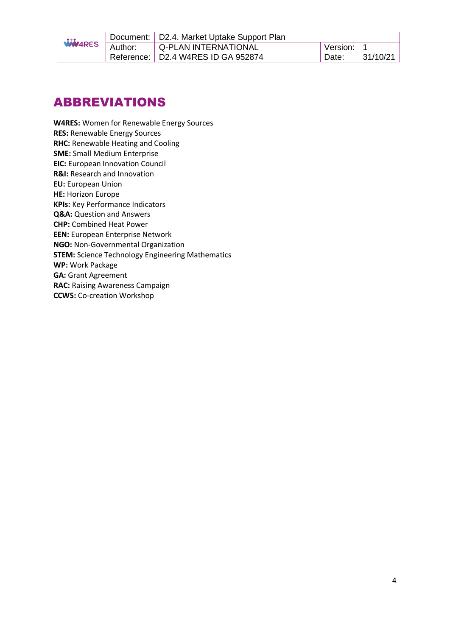| $\bullet\bullet\bullet$ |         | Document:   D2.4. Market Uptake Support Plan |            |          |
|-------------------------|---------|----------------------------------------------|------------|----------|
| <b>WW4RES</b>           | Author: | Q-PLAN INTERNATIONAL                         | Version: I |          |
|                         |         | Reference:   D2.4 W4RES ID GA 952874         | Date:      | 31/10/21 |

#### **ABBREVIATIONS**

R **HE:** Horizon Europe **GA: Grant Agreement W4RES:** Women for Renewable Energy Sources **RES:** Renewable Energy Sources **RHC:** Renewable Heating and Cooling **SME:** Small Medium Enterprise **EIC:** European Innovation Council **R&I:** Research and Innovation **EU:** European Union **KPIs:** Key Performance Indicators **Q&A: Question and Answers CHP:** Combined Heat Power **EEN:** European Enterprise Network **NGO:** Non-Governmental Organization **STEM:** Science Technology Engineering Mathematics **WP:** Work Package **RAC:** Raising Awareness Campaign **CCWS:** Co-creation Workshop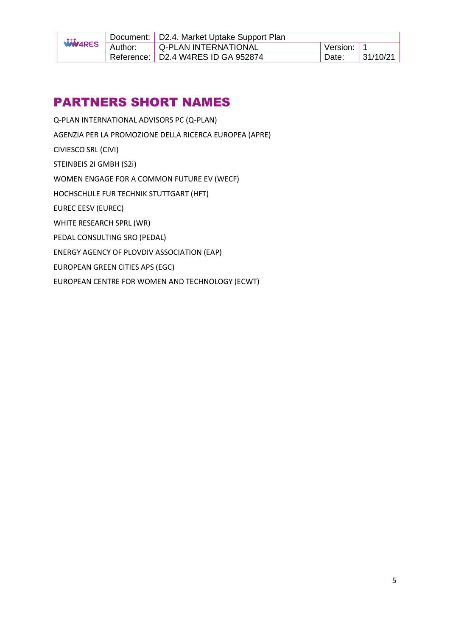| $\bullet\bullet\bullet$ |         | Document:   D2.4. Market Uptake Support Plan |            |          |
|-------------------------|---------|----------------------------------------------|------------|----------|
| <b>WW4RES</b>           | Author: | <sup>'</sup> Q-PLAN INTERNATIONAL            | Version: I |          |
|                         |         | Reference:   D2.4 W4RES ID GA 952874         | Date:      | 31/10/21 |

#### PARTNERS SHORT NAMES

- Q-PLAN INTERNATIONAL ADVISORS PC (Q-PLAN)
- AGENZIA PER LA PROMOZIONE DELLA RICERCA EUROPEA (APRE)
- CIVIESCO SRL (CIVI)
- STEINBEIS 2I GMBH (S2i)
- WOMEN ENGAGE FOR A COMMON FUTURE EV (WECF)
- HOCHSCHULE FUR TECHNIK STUTTGART (HFT)
- EUREC EESV (EUREC)
- WHITE RESEARCH SPRL (WR)
- PEDAL CONSULTING SRO (PEDAL)
- ENERGY AGENCY OF PLOVDIV ASSOCIATION (EAP)
- EUROPEAN GREEN CITIES APS (EGC)
- **EUROPEAN CENTRE FOR WOMEN AND TECHNOLOGY (ECWT)**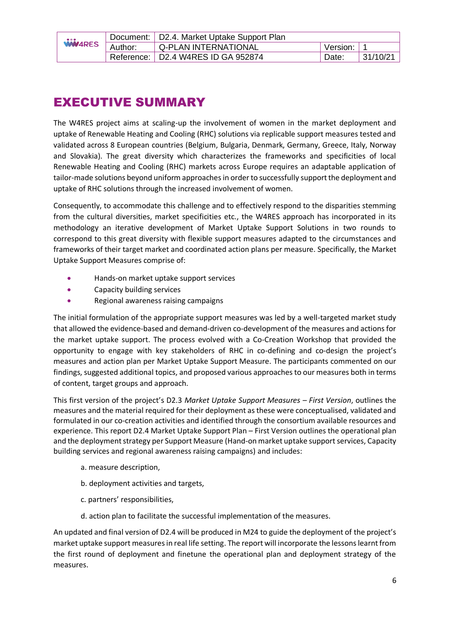| $\bullet\bullet\bullet$ |         | Document:   D2.4. Market Uptake Support Plan |            |          |
|-------------------------|---------|----------------------------------------------|------------|----------|
| <b>WW4RES</b>           | Author: | Q-PLAN INTERNATIONAL                         | Version: I |          |
|                         |         | Reference:   D2.4 W4RES ID GA 952874         | Date:      | 31/10/21 |

#### **EXECUTIVE SUMMARY**

uptake of RHC solutions through the increased involvement of women. The W4RES project aims at scaling-up the involvement of women in the market deployment and uptake of Renewable Heating and Cooling (RHC) solutions via replicable support measures tested and validated across 8 European countries (Belgium, Bulgaria, Denmark, Germany, Greece, Italy, Norway and Slovakia). The great diversity which characterizes the frameworks and specificities of local Renewable Heating and Cooling (RHC) markets across Europe requires an adaptable application of tailor-made solutions beyond uniform approaches in order to successfully supportthe deployment and

Consequently, to accommodate this challenge and to effectively respond to the disparities stemming from the cultural diversities, market specificities etc., the W4RES approach has incorporated in its methodology an iterative development of Market Uptake Support Solutions in two rounds to correspond to this great diversity with flexible support measures adapted to the circumstances and frameworks of their target market and coordinated action plans per measure. Specifically, the Market Uptake Support Measures comprise of:

- Hands-on market uptake support services
- Capacity building services
- Regional awareness raising campaigns

measures and action plan per Market Uptake Support Measure. The participants commented on our The initial formulation of the appropriate support measures was led by a well-targeted market study that allowed the evidence-based and demand-driven co-development of the measures and actions for the market uptake support. The process evolved with a Co-Creation Workshop that provided the opportunity to engage with key stakeholders of RHC in co-defining and co-design the project's findings, suggested additional topics, and proposed various approaches to our measures both in terms of content, target groups and approach.

This first version of the project's D2.3 *Market Uptake Support Measures – First Version*, outlines the measures and the material required for their deployment as these were conceptualised, validated and formulated in our co-creation activities and identified through the consortium available resources and experience. This report D2.4 Market Uptake Support Plan – First Version outlines the operational plan and the deployment strategy per Support Measure (Hand-on market uptake support services, Capacity building services and regional awareness raising campaigns) and includes:

- a. measure description,
- b. deployment activities and targets,
- c. partners' responsibilities,
- d. action plan to facilitate the successful implementation of the measures.

An updated and final version of D2.4 will be produced in M24 to guide the deployment of the project's market uptake support measures in real life setting. The report will incorporate the lessons learnt from the first round of deployment and finetune the operational plan and deployment strategy of the measures.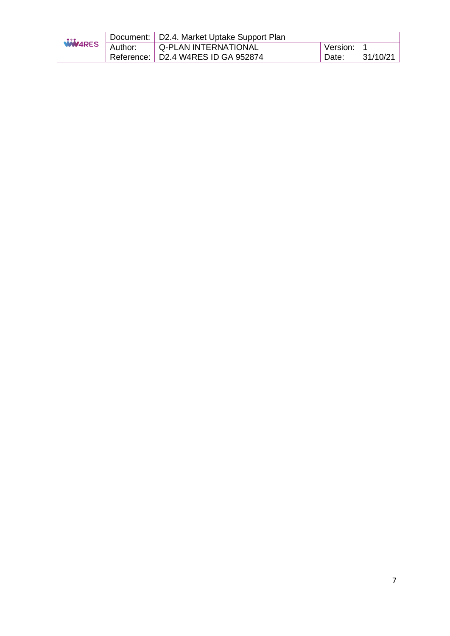| $\bullet\bullet\bullet$ |         | Document:   D2.4. Market Uptake Support Plan |            |          |
|-------------------------|---------|----------------------------------------------|------------|----------|
| <b>WW4RES</b>           | Author: | <b>Q-PLAN INTERNATIONAL</b>                  | Version: I |          |
|                         |         | Reference:   D2.4 W4RES ID GA 952874         | Date:      | 31/10/21 |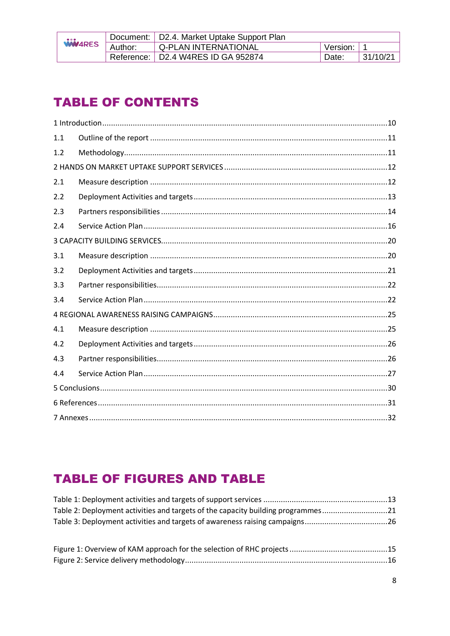| $\bullet\bullet\bullet$ |         | Document:   D2.4. Market Uptake Support Plan |            |          |
|-------------------------|---------|----------------------------------------------|------------|----------|
| <b>WW4RES</b>           | Author: | <b>Q-PLAN INTERNATIONAL</b>                  | Version: I |          |
|                         |         | Reference:   D2.4 W4RES ID GA 952874         | Date:      | 31/10/21 |

### **TABLE OF CONTENTS**

| 1.1 |  |
|-----|--|
| 1.2 |  |
|     |  |
| 2.1 |  |
| 2.2 |  |
| 2.3 |  |
| 2.4 |  |
|     |  |
| 3.1 |  |
| 3.2 |  |
| 3.3 |  |
| 3.4 |  |
|     |  |
| 4.1 |  |
| 4.2 |  |
| 4.3 |  |
| 4.4 |  |
|     |  |
|     |  |
|     |  |

## **TABLE OF FIGURES AND TABLE**

| Table 2: Deployment activities and targets of the capacity building programmes21 |
|----------------------------------------------------------------------------------|
| Table 3: Deployment activities and targets of awareness raising campaigns26      |
|                                                                                  |
|                                                                                  |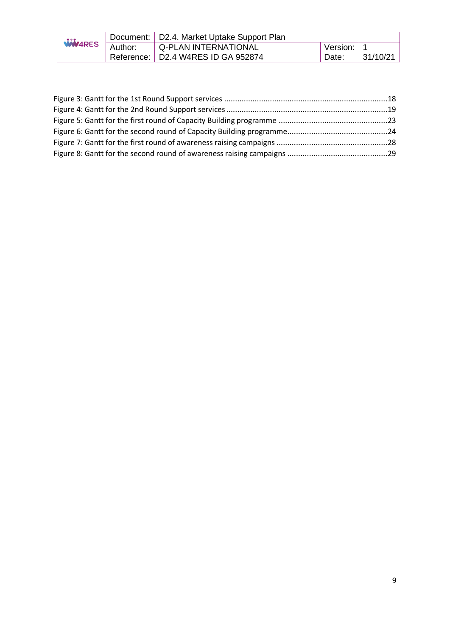| <b>WW4RES</b> |         | Document:   D2.4. Market Uptake Support Plan |          |          |
|---------------|---------|----------------------------------------------|----------|----------|
|               | Author: | Q-PLAN INTERNATIONAL                         | Version: |          |
|               |         | Reference:   D2.4 W4RES ID GA 952874         | Date:    | 31/10/21 |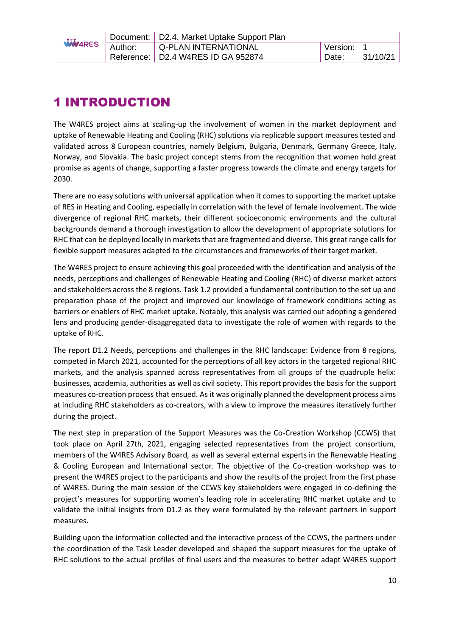| $\bullet\bullet\bullet$ |         | Document:   D2.4. Market Uptake Support Plan |            |          |
|-------------------------|---------|----------------------------------------------|------------|----------|
| <b>WW4RES</b>           | Author: | Q-PLAN INTERNATIONAL                         | Version: I |          |
|                         |         | Reference:   D2.4 W4RES ID GA 952874         | Date:      | 31/10/21 |

### <span id="page-9-0"></span>**1 INTRODUCTION**

The W4RES project aims at scaling-up the involvement of women in the market deployment and uptake of Renewable Heating and Cooling (RHC) solutions via replicable support measures tested and validated across 8 European countries, namely Belgium, Bulgaria, Denmark, Germany Greece, Italy, Norway, and Slovakia. The basic project concept stems from the recognition that women hold great promise as agents of change, supporting a faster progress towards the climate and energy targets for 2030.

R There are no easy solutions with universal application when it comes to supporting the market uptake of RES in Heating and Cooling, especially in correlation with the level of female involvement. The wide divergence of regional RHC markets, their different socioeconomic environments and the cultural backgrounds demand a thorough investigation to allow the development of appropriate solutions for RHC that can be deployed locally in markets that are fragmented and diverse. This great range calls for flexible support measures adapted to the circumstances and frameworks of their target market.

needs, perceptions and challenges of Renewable Heating and Cooling (RHC) of diverse market actors The W4RES project to ensure achieving this goal proceeded with the identification and analysis of the and stakeholders across the 8 regions. Task 1.2 provided a fundamental contribution to the set up and preparation phase of the project and improved our knowledge of framework conditions acting as barriers or enablers of RHC market uptake. Notably, this analysis was carried out adopting a gendered lens and producing gender-disaggregated data to investigate the role of women with regards to the uptake of RHC.

competed in March 2021, accounted for the perceptions of all key actors in the targeted regional RHC The report D1.2 Needs, perceptions and challenges in the RHC landscape: Evidence from 8 regions, markets, and the analysis spanned across representatives from all groups of the quadruple helix: businesses, academia, authorities as well as civil society. This report provides the basis for the support measures co-creation process that ensued. As it was originally planned the development process aims at including RHC stakeholders as co-creators, with a view to improve the measures iteratively further during the project.

The next step in preparation of the Support Measures was the Co-Creation Workshop (CCWS) that took place on April 27th, 2021, engaging selected representatives from the project consortium, members of the W4RES Advisory Board, as well as several external experts in the Renewable Heating & Cooling European and International sector. The objective of the Co-creation workshop was to present the W4RES project to the participants and show the results of the project from the first phase of W4RES. During the main session of the CCWS key stakeholders were engaged in co-defining the project's measures for supporting women's leading role in accelerating RHC market uptake and to validate the initial insights from D1.2 as they were formulated by the relevant partners in support measures.

Building upon the information collected and the interactive process of the CCWS, the partners under the coordination of the Task Leader developed and shaped the support measures for the uptake of RHC solutions to the actual profiles of final users and the measures to better adapt W4RES support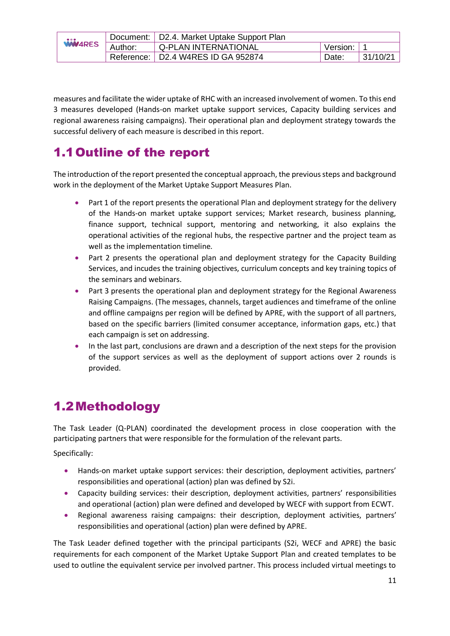| $\bullet\bullet\bullet$ |         | Document:   D2.4. Market Uptake Support Plan |            |          |
|-------------------------|---------|----------------------------------------------|------------|----------|
| <b>WW4RES</b>           | Author: | <sup>1</sup> Q-PLAN INTERNATIONAL            | Version: I |          |
|                         |         | Reference:   D2.4 W4RES ID GA 952874         | Date:      | 31/10/21 |

measures and natitive the mach aptains of thre minimitive cased invertentent of women to this end.<br>3 measures developed (Hands-on market uptake support services, Capacity building services and measures and facilitate the wider uptake of RHC with an increased involvement of women. To this end regional awareness raising campaigns). Their operational plan and deployment strategy towards the successful delivery of each measure is described in this report.

### <span id="page-10-0"></span>1.1Outline of the report

work in the deployment of the Market Uptake Support Measures Plan. The introduction of the report presented the conceptual approach, the previous steps and background

- Part 1 of the report presents the operational Plan and deployment strategy for the delivery of the Hands-on market uptake support services; Market research, business planning, finance support, technical support, mentoring and networking, it also explains the operational activities of the regional hubs, the respective partner and the project team as well as the implementation timeline.
- the seminars and webinars. • Part 2 presents the operational plan and deployment strategy for the Capacity Building Services, and incudes the training objectives, curriculum concepts and key training topics of
- Part 3 presents the operational plan and deployment strategy for the Regional Awareness Raising Campaigns. (The messages, channels, target audiences and timeframe of the online and offline campaigns per region will be defined by APRE, with the support of all partners, based on the specific barriers (limited consumer acceptance, information gaps, etc.) that each campaign is set on addressing.
- or the su<br>provided. • In the last part, conclusions are drawn and a description of the next steps for the provision of the support services as well as the deployment of support actions over 2 rounds is

### <span id="page-10-1"></span>1.2Methodology

The Task Leader (Q-PLAN) coordinated the development process in close cooperation with the participating partners that were responsible for the formulation of the relevant parts.

Specifically:

- Hands-on market uptake support services: their description, deployment activities, partners' responsibilities and operational (action) plan was defined by S2i.
- Capacity building services: their description, deployment activities, partners' responsibilities and operational (action) plan were defined and developed by WECF with support from ECWT.
- Regional awareness raising campaigns: their description, deployment activities, partners' responsibilities and operational (action) plan were defined by APRE.

The Task Leader defined together with the principal participants (S2i, WECF and APRE) the basic requirements for each component of the Market Uptake Support Plan and created templates to be used to outline the equivalent service per involved partner. This process included virtual meetings to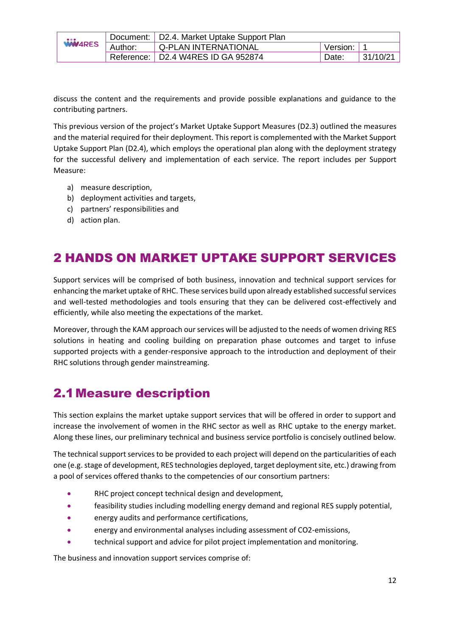| $\bullet\bullet\bullet$ |         | Document:   D2.4. Market Uptake Support Plan |            |          |
|-------------------------|---------|----------------------------------------------|------------|----------|
| <b>WW4RES</b>           | Author: | <b>Q-PLAN INTERNATIONAL</b>                  | Version: I |          |
|                         |         | Reference:   D2.4 W4RES ID GA 952874         | Date:      | 31/10/21 |

alseass the content and discuss the content and the requirements and provide possible explanations and guidance to the

This previous version of the project's Market Uptake Support Measures (D2.3) outlined the measures and the material required for their deployment. This report is complemented with the Market Support Uptake Support Plan (D2.4), which employs the operational plan along with the deployment strategy for the successful delivery and implementation of each service. The report includes per Support Measure:

- a) measure description,
- b) deployment activities and targets,
- c) partners' responsibilities and
- d) action plan.

#### <span id="page-11-0"></span>2 HANDS ON MARKET UPTAKE SUPPORT SERVICES

Support services will be comprised of both business, innovation and technical support services for enhancing the market uptake of RHC. These services build upon already established successful services and well-tested methodologies and tools ensuring that they can be delivered cost-effectively and efficiently, while also meeting the expectations of the market.

RHC solutions through gender mainstreaming. Moreover, through the KAM approach our services will be adjusted to the needs of women driving RES solutions in heating and cooling building on preparation phase outcomes and target to infuse supported projects with a gender-responsive approach to the introduction and deployment of their

#### <span id="page-11-1"></span>2.1Measure description

This section explains the market uptake support services that will be offered in order to support and increase the involvement of women in the RHC sector as well as RHC uptake to the energy market. Along these lines, our preliminary technical and business service portfolio is concisely outlined below.

The technical support services to be provided to each project will depend on the particularities of each one (e.g. stage of development, RES technologies deployed, target deployment site, etc.) drawing from a pool of services offered thanks to the competencies of our consortium partners:

- RHC project concept technical design and development,
- feasibility studies including modelling energy demand and regional RES supply potential,
- energy audits and performance certifications,
- energy and environmental analyses including assessment of CO2-emissions,
- technical support and advice for pilot project implementation and monitoring.

The business and innovation support services comprise of: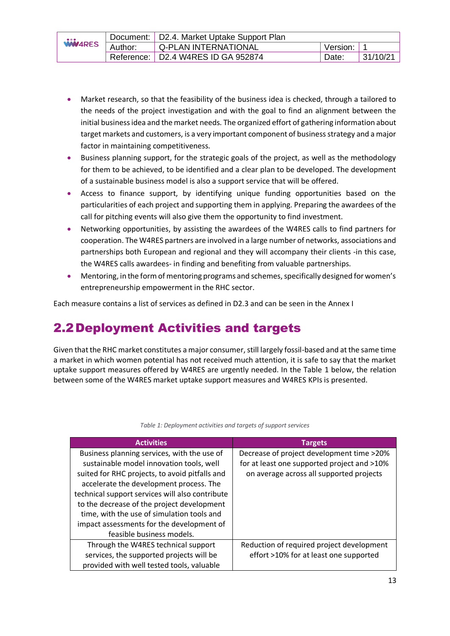|               |         | Document:   D2.4. Market Uptake Support Plan |             |          |
|---------------|---------|----------------------------------------------|-------------|----------|
| <b>WW4RES</b> | Author: | <b>Q-PLAN INTERNATIONAL</b>                  | Version: 11 |          |
|               |         | Reference:   D2.4 W4RES ID GA 952874         | Date:       | 31/10/21 |

- $\frac{C}{2}$ • Market research, so that the feasibility of the business idea is checked, through a tailored to the needs of the project investigation and with the goal to find an alignment between the initial business idea and the market needs. The organized effort of gathering information about target markets and customers, is a very important component of business strategy and a major factor in maintaining competitiveness.
- Business planning support, for the strategic goals of the project, as well as the methodology for them to be achieved, to be identified and a clear plan to be developed. The development of a sustainable business model is also a support service that will be offered.
- Access to finance support, by identifying unique funding opportunities based on the particularities of each project and supporting them in applying. Preparing the awardees of the call for pitching events will also give them the opportunity to find investment.
- Networking opportunities, by assisting the awardees of the W4RES calls to find partners for cooperation. The W4RES partners are involved in a large number of networks, associations and partnerships both European and regional and they will accompany their clients -in this case, the W4RES calls awardees- in finding and benefiting from valuable partnerships.
- Mentoring, in the form of mentoring programs and schemes, specifically designed for women's entrepreneurship empowerment in the RHC sector.

Each measure contains a list of services as defined in D2.3 and can be seen in the Annex I

#### <span id="page-12-0"></span>2.2Deployment Activities and targets

a market in which women potential has not received much attention, it is safe to say that the market Given that the RHC market constitutes a major consumer, still largely fossil-based and at the same time uptake support measures offered by W4RES are urgently needed. In the Table 1 below, the relation between some of the W4RES market uptake support measures and W4RES KPIs is presented.

<span id="page-12-1"></span>

| <b>Activities</b>                               | <b>Targets</b>                              |
|-------------------------------------------------|---------------------------------------------|
| Business planning services, with the use of     | Decrease of project development time >20%   |
| sustainable model innovation tools, well        | for at least one supported project and >10% |
| suited for RHC projects, to avoid pitfalls and  | on average across all supported projects    |
| accelerate the development process. The         |                                             |
| technical support services will also contribute |                                             |
| to the decrease of the project development      |                                             |
| time, with the use of simulation tools and      |                                             |
| impact assessments for the development of       |                                             |
| feasible business models.                       |                                             |
| Through the W4RES technical support             | Reduction of required project development   |
| services, the supported projects will be        | effort >10% for at least one supported      |
| provided with well tested tools, valuable       |                                             |

*Table 1: Deployment activities and targets of support services*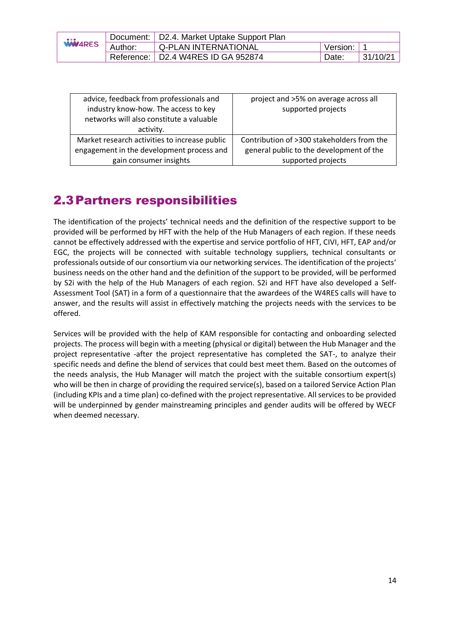| $\bullet\bullet\bullet$ |         | Document:   D2.4. Market Uptake Support Plan |            |          |
|-------------------------|---------|----------------------------------------------|------------|----------|
| <b>WW4RES</b>           | Author: | Q-PLAN INTERNATIONAL                         | Version: I |          |
|                         |         | Reference:   D2.4 W4RES ID GA 952874         | Date:      | 31/10/21 |

| advice, feedback from professionals and<br>industry know-how. The access to key<br>networks will also constitute a valuable | project and >5% on average across all<br>supported projects |
|-----------------------------------------------------------------------------------------------------------------------------|-------------------------------------------------------------|
| activity.                                                                                                                   |                                                             |
| Market research activities to increase public                                                                               | Contribution of >300 stakeholders from the                  |
| engagement in the development process and                                                                                   | general public to the development of the                    |
| gain consumer insights                                                                                                      | supported projects                                          |

#### <span id="page-13-0"></span>2.3Partners responsibilities

business needs on the other hand and the definition of the support to be provided, will be performed The identification of the projects' technical needs and the definition of the respective support to be provided will be performed by HFT with the help of the Hub Managers of each region. If these needs cannot be effectively addressed with the expertise and service portfolio of HFT, CIVI, HFT, EAP and/or EGC, the projects will be connected with suitable technology suppliers, technical consultants or professionals outside of our consortium via our networking services. The identification of the projects' by S2i with the help of the Hub Managers of each region. S2i and HFT have also developed a Self-Assessment Tool (SAT) in a form of a questionnaire that the awardees of the W4RES calls will have to answer, and the results will assist in effectively matching the projects needs with the services to be offered.

specific needs and define the blend of services that could best meet them. Based on the outcomes of Services will be provided with the help of KAM responsible for contacting and onboarding selected projects. The process will begin with a meeting (physical or digital) between the Hub Manager and the project representative -after the project representative has completed the SAT-, to analyze their the needs analysis, the Hub Manager will match the project with the suitable consortium expert(s) who will be then in charge of providing the required service(s), based on a tailored Service Action Plan (including KPIs and a time plan) co-defined with the project representative. All services to be provided will be underpinned by gender mainstreaming principles and gender audits will be offered by WECF when deemed necessary.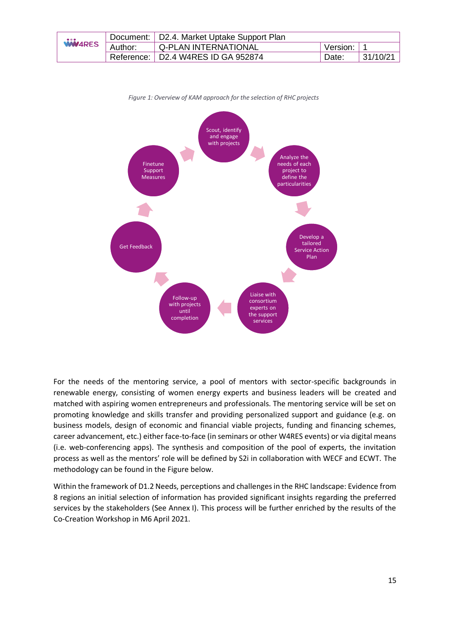| <b>WW4RES</b> |         | Document:   D2.4. Market Uptake Support Plan |          |          |
|---------------|---------|----------------------------------------------|----------|----------|
|               | Author: | <b>Q-PLAN INTERNATIONAL</b>                  | Version: |          |
|               |         | Reference:   D2.4 W4RES ID GA 952874         | Date:    | 31/10/21 |

*Figure 1: Overview of KAM approach for the selection of RHC projects*



For the needs of the mentoring service, a pool of mentors with sector-specific backgrounds in renewable energy, consisting of women energy experts and business leaders will be created and matched with aspiring women entrepreneurs and professionals. The mentoring service will be set on promoting knowledge and skills transfer and providing personalized support and guidance (e.g. on business models, design of economic and financial viable projects, funding and financing schemes, career advancement, etc.) either face-to-face (in seminars or other W4RES events) or via digital means (i.e. web-conferencing apps). The synthesis and composition of the pool of experts, the invitation process as well as the mentors' role will be defined by S2i in collaboration with WECF and ECWT. The methodology can be found in the Figure below.

Within the framework of D1.2 Needs, perceptions and challenges in the RHC landscape: Evidence from 8 regions an initial selection of information has provided significant insights regarding the preferred services by the stakeholders (See Annex I). This process will be further enriched by the results of the Co-Creation Workshop in M6 April 2021.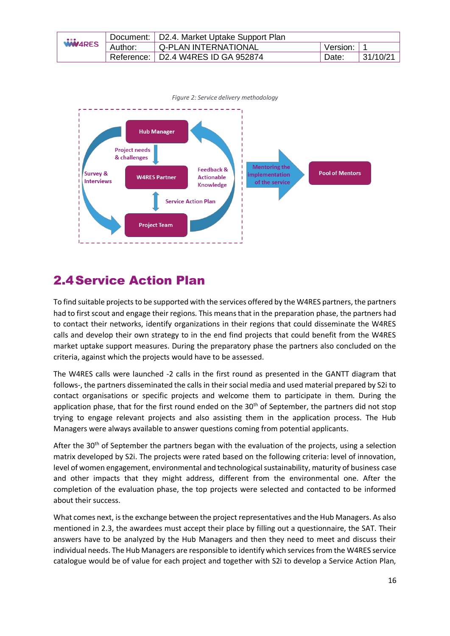| $\bullet\bullet\bullet$ |         | Document:   D2.4. Market Uptake Support Plan |          |          |
|-------------------------|---------|----------------------------------------------|----------|----------|
| <b>WW4RES</b>           | Author: | Q-PLAN INTERNATIONAL                         | Version: |          |
|                         |         | Reference:   D2.4 W4RES ID GA 952874         | Date:    | 31/10/21 |

*Figure 2: Service delivery methodology*

<span id="page-15-1"></span>

#### <span id="page-15-0"></span>**2.4 Service Action Plan**

criteria, against which the projects would have to be assessed. To find suitable projects to be supported with the services offered by the W4RES partners, the partners had to first scout and engage their regions. This means that in the preparation phase, the partners had to contact their networks, identify organizations in their regions that could disseminate the W4RES calls and develop their own strategy to in the end find projects that could benefit from the W4RES market uptake support measures. During the preparatory phase the partners also concluded on the

The W4RES calls were launched -2 calls in the first round as presented in the GANTT diagram that follows-, the partners disseminated the calls in their social media and used material prepared by S2i to contact organisations or specific projects and welcome them to participate in them. During the application phase, that for the first round ended on the  $30<sup>th</sup>$  of September, the partners did not stop trying to engage relevant projects and also assisting them in the application process. The Hub Managers were always available to answer questions coming from potential applicants.

After the 30<sup>th</sup> of September the partners began with the evaluation of the projects, using a selection matrix developed by S2i. The projects were rated based on the following criteria: level of innovation, level of women engagement, environmental and technological sustainability, maturity of business case and other impacts that they might address, different from the environmental one. After the completion of the evaluation phase, the top projects were selected and contacted to be informed about their success.

What comes next, is the exchange between the project representatives and the Hub Managers. As also mentioned in 2.3, the awardees must accept their place by filling out a questionnaire, the SAT. Their answers have to be analyzed by the Hub Managers and then they need to meet and discuss their individual needs. The Hub Managers are responsible to identify which services from the W4RES service catalogue would be of value for each project and together with S2i to develop a Service Action Plan,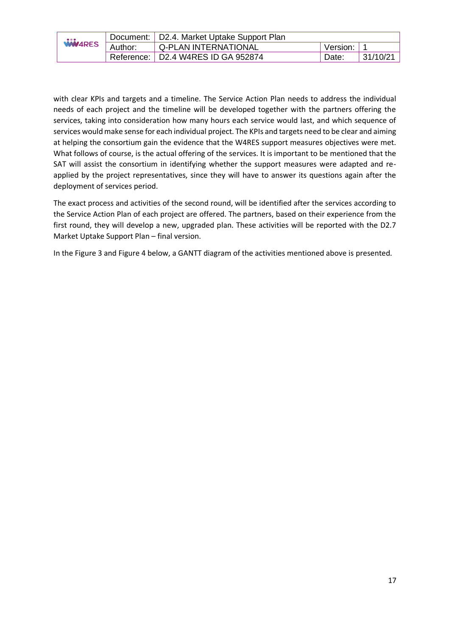| $\bullet\bullet\bullet$ |         | Document:   D2.4. Market Uptake Support Plan |            |          |
|-------------------------|---------|----------------------------------------------|------------|----------|
| <b>WW4RES</b>           | Author: | <b>Q-PLAN INTERNATIONAL</b>                  | Version: I |          |
|                         |         | Reference:   D2.4 W4RES ID GA 952874         | Date:      | 31/10/21 |

References in the direct and the timeline will be developed together with the partners offering the deployment of services period.<br> with clear KPIs and targets and a timeline. The Service Action Plan needs to address the individual services, taking into consideration how many hours each service would last, and which sequence of services would make sense for each individual project. The KPIs and targets need to be clear and aiming at helping the consortium gain the evidence that the W4RES support measures objectives were met. What follows of course, is the actual offering of the services. It is important to be mentioned that the SAT will assist the consortium in identifying whether the support measures were adapted and reapplied by the project representatives, since they will have to answer its questions again after the

The exact process and activities of the second round, will be identified after the services according to the Service Action Plan of each project are offered. The partners, based on their experience from the first round, they will develop a new, upgraded plan. These activities will be reported with the D2.7 Market Uptake Support Plan – final version.

In the Figure 3 and Figure 4 below, a GANTT diagram of the activities mentioned above is presented.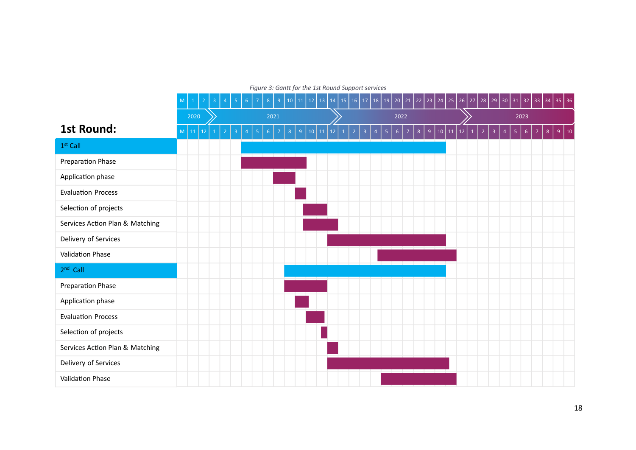*Figure 3: Gantt for the 1st Round Support services*

<span id="page-17-0"></span>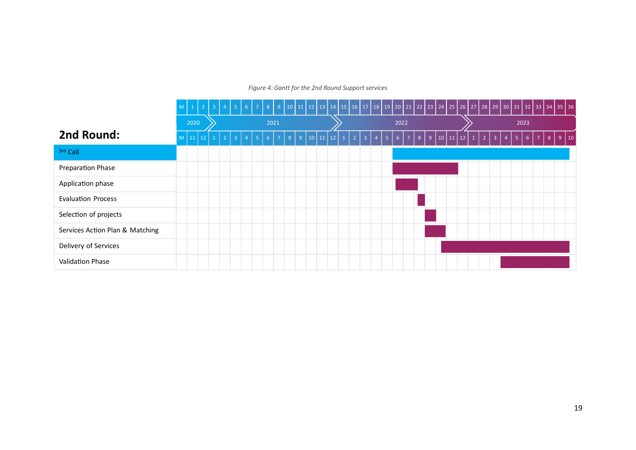#### *Figure 4: Gantt for the 2nd Round Support services*

<span id="page-18-0"></span>

|                                 | M <sub>1</sub> | $\vert 1 \vert$ | $-2$        | 3 <sup>°</sup> | $\overline{4}$  |                | 5 6            | <b>47</b>      | 8 <sup>°</sup> |                |                |  | 9   10   11   12   13 |                     |                |                |                |                |                |                |   |  | 14 15 16 17 18 19 20 21 22 23 24 25 26 27 28 29 30 31 32 33 34 |                |                |                |                |      |                |              |                | 35 36 |
|---------------------------------|----------------|-----------------|-------------|----------------|-----------------|----------------|----------------|----------------|----------------|----------------|----------------|--|-----------------------|---------------------|----------------|----------------|----------------|----------------|----------------|----------------|---|--|----------------------------------------------------------------|----------------|----------------|----------------|----------------|------|----------------|--------------|----------------|-------|
|                                 |                | 2020            |             |                |                 |                |                |                | 2021           |                |                |  |                       |                     |                |                |                | 2022           |                |                |   |  |                                                                |                |                |                |                | 2023 |                |              |                |       |
| 2nd Round:                      |                |                 | $M$ 11 12 1 |                | $\vert 2 \vert$ | $\overline{3}$ | $\overline{4}$ | 5 <sup>1</sup> | 6 <sup>1</sup> | $\overline{7}$ | 8 <sup>°</sup> |  | 9   10   11   12      | $\mathbf{1}^{\top}$ | $\overline{2}$ | $\overline{3}$ | 5 <sup>1</sup> | 6 <sup>1</sup> | $\overline{7}$ | 8 <sup>°</sup> | 9 |  | 10 11 12                                                       | $\overline{1}$ | $\overline{2}$ | $\overline{3}$ | 5 <sup>1</sup> | 6    | $\overline{7}$ | $\mathbf{8}$ | 9 <sup>°</sup> | 10    |
| <sup>3rd</sup> Call             |                |                 |             |                |                 |                |                |                |                |                |                |  |                       |                     |                |                |                |                |                |                |   |  |                                                                |                |                |                |                |      |                |              |                |       |
| <b>Preparation Phase</b>        |                |                 |             |                |                 |                |                |                |                |                |                |  |                       |                     |                |                |                |                |                |                |   |  |                                                                |                |                |                |                |      |                |              |                |       |
| Application phase               |                |                 |             |                |                 |                |                |                |                |                |                |  |                       |                     |                |                |                |                |                |                |   |  |                                                                |                |                |                |                |      |                |              |                |       |
| <b>Evaluation Process</b>       |                |                 |             |                |                 |                |                |                |                |                |                |  |                       |                     |                |                |                |                |                |                |   |  |                                                                |                |                |                |                |      |                |              |                |       |
| Selection of projects           |                |                 |             |                |                 |                |                |                |                |                |                |  |                       |                     |                |                |                |                |                |                |   |  |                                                                |                |                |                |                |      |                |              |                |       |
| Services Action Plan & Matching |                |                 |             |                |                 |                |                |                |                |                |                |  |                       |                     |                |                |                |                |                |                |   |  |                                                                |                |                |                |                |      |                |              |                |       |
| Delivery of Services            |                |                 |             |                |                 |                |                |                |                |                |                |  |                       |                     |                |                |                |                |                |                |   |  |                                                                |                |                |                |                |      |                |              |                |       |
| <b>Validation Phase</b>         |                |                 |             |                |                 |                |                |                |                |                |                |  |                       |                     |                |                |                |                |                |                |   |  |                                                                |                |                |                |                |      |                |              |                |       |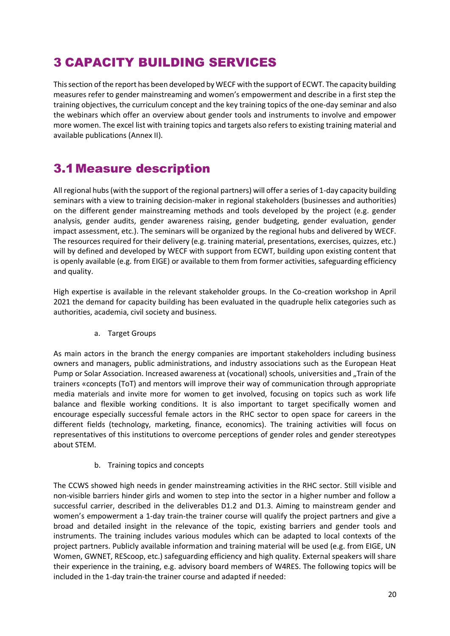### <span id="page-19-0"></span>3 CAPACITY BUILDING SERVICES

This section of the report has been developed by WECF with the support of ECWT. The capacity building measures refer to gender mainstreaming and women's empowerment and describe in a first step the training objectives, the curriculum concept and the key training topics of the one-day seminar and also the webinars which offer an overview about gender tools and instruments to involve and empower more women. The excel list with training topics and targets also refers to existing training material and available publications (Annex II).

#### <span id="page-19-1"></span>3.1Measure description

All regional hubs (with the support of the regional partners) will offer a series of 1-day capacity building seminars with a view to training decision-maker in regional stakeholders (businesses and authorities) on the different gender mainstreaming methods and tools developed by the project (e.g. gender analysis, gender audits, gender awareness raising, gender budgeting, gender evaluation, gender impact assessment, etc.). The seminars will be organized by the regional hubs and delivered by WECF. The resources required for their delivery (e.g. training material, presentations, exercises, quizzes, etc.) will by defined and developed by WECF with support from ECWT, building upon existing content that is openly available (e.g. from EIGE) or available to them from former activities, safeguarding efficiency and quality.

High expertise is available in the relevant stakeholder groups. In the Co-creation workshop in April 2021 the demand for capacity building has been evaluated in the quadruple helix categories such as authorities, academia, civil society and business.

a. Target Groups

As main actors in the branch the energy companies are important stakeholders including business owners and managers, public administrations, and industry associations such as the European Heat Pump or Solar Association. Increased awareness at (vocational) schools, universities and "Train of the trainers «concepts (ToT) and mentors will improve their way of communication through appropriate media materials and invite more for women to get involved, focusing on topics such as work life balance and flexible working conditions. It is also important to target specifically women and encourage especially successful female actors in the RHC sector to open space for careers in the different fields (technology, marketing, finance, economics). The training activities will focus on representatives of this institutions to overcome perceptions of gender roles and gender stereotypes about STEM.

b. Training topics and concepts

The CCWS showed high needs in gender mainstreaming activities in the RHC sector. Still visible and non-visible barriers hinder girls and women to step into the sector in a higher number and follow a successful carrier, described in the deliverables D1.2 and D1.3. Aiming to mainstream gender and women's empowerment a 1-day train-the trainer course will qualify the project partners and give a broad and detailed insight in the relevance of the topic, existing barriers and gender tools and instruments. The training includes various modules which can be adapted to local contexts of the project partners. Publicly available information and training material will be used (e.g. from EIGE, UN Women, GWNET, REScoop, etc.) safeguarding efficiency and high quality. External speakers will share their experience in the training, e.g. advisory board members of W4RES. The following topics will be included in the 1-day train-the trainer course and adapted if needed: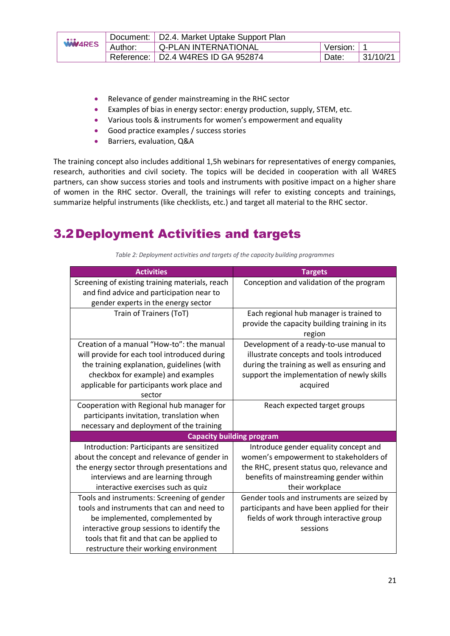| $\bullet\bullet\bullet$ |         | Document:   D2.4. Market Uptake Support Plan |            |          |
|-------------------------|---------|----------------------------------------------|------------|----------|
| <b>WW4RES</b>           | Author: | <sup>1</sup> Q-PLAN INTERNATIONAL            | Version: I |          |
|                         |         | Reference:   D2.4 W4RES ID GA 952874         | Date:      | 31/10/21 |

- Relevance of gender mainstreaming in the RHC sector
- Reference of geneer manustrearning in the time sector<br>• Examples of bias in energy sector: energy production, supply, STEM, etc.
- Various tools & instruments for women's empowerment and equality
- Good practice examples / success stories
- Barriers, evaluation, Q&A

of women in the RHC sector. Overall, the trainings will refer to existing concepts and trainings, The training concept also includes additional 1,5h webinars for representatives of energy companies, research, authorities and civil society. The topics will be decided in cooperation with all W4RES partners, can show success stories and tools and instruments with positive impact on a higher share summarize helpful instruments (like checklists, etc.) and target all material to the RHC sector.

#### <span id="page-20-0"></span>3.2Deployment Activities and targets

<span id="page-20-1"></span>

| <b>Activities</b>                               | <b>Targets</b>                                                                                     |
|-------------------------------------------------|----------------------------------------------------------------------------------------------------|
| Screening of existing training materials, reach | Conception and validation of the program                                                           |
| and find advice and participation near to       |                                                                                                    |
| gender experts in the energy sector             |                                                                                                    |
| Train of Trainers (ToT)                         | Each regional hub manager is trained to<br>provide the capacity building training in its<br>region |
| Creation of a manual "How-to": the manual       | Development of a ready-to-use manual to                                                            |
| will provide for each tool introduced during    | illustrate concepts and tools introduced                                                           |
| the training explanation, guidelines (with      | during the training as well as ensuring and                                                        |
| checkbox for example) and examples              | support the implementation of newly skills                                                         |
| applicable for participants work place and      | acquired                                                                                           |
| sector                                          |                                                                                                    |
| Cooperation with Regional hub manager for       | Reach expected target groups                                                                       |
| participants invitation, translation when       |                                                                                                    |
| necessary and deployment of the training        |                                                                                                    |
|                                                 | <b>Capacity building program</b>                                                                   |
| Introduction: Participants are sensitized       | Introduce gender equality concept and                                                              |
| about the concept and relevance of gender in    | women's empowerment to stakeholders of                                                             |
| the energy sector through presentations and     | the RHC, present status quo, relevance and                                                         |
| interviews and are learning through             | benefits of mainstreaming gender within                                                            |
| interactive exercises such as quiz              | their workplace                                                                                    |
| Tools and instruments: Screening of gender      | Gender tools and instruments are seized by                                                         |
| tools and instruments that can and need to      | participants and have been applied for their                                                       |
| be implemented, complemented by                 | fields of work through interactive group                                                           |
| interactive group sessions to identify the      | sessions                                                                                           |
| tools that fit and that can be applied to       |                                                                                                    |
| restructure their working environment           |                                                                                                    |

*Table 2: Deployment activities and targets of the capacity building programmes*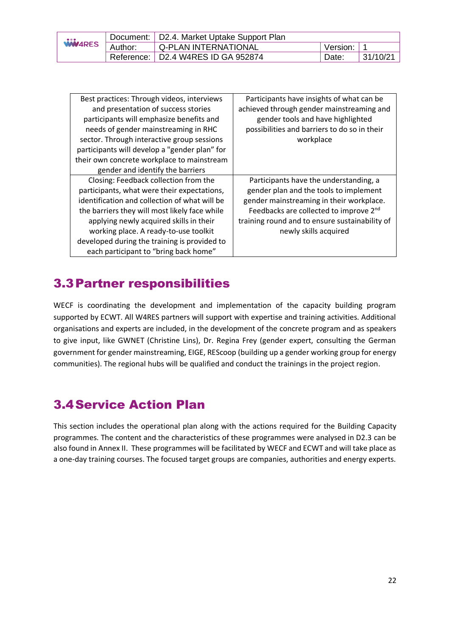|               |         | Document:   D2.4. Market Uptake Support Plan |            |          |
|---------------|---------|----------------------------------------------|------------|----------|
| <b>WW4RES</b> | Author: | <b>Q-PLAN INTERNATIONAL</b>                  | Version: I |          |
|               |         | Reference:   D2.4 W4RES ID GA 952874         | Date:      | 31/10/21 |

| Best practices: Through videos, interviews    | Participants have insights of what can be          |
|-----------------------------------------------|----------------------------------------------------|
| and presentation of success stories           | achieved through gender mainstreaming and          |
| participants will emphasize benefits and      | gender tools and have highlighted                  |
| needs of gender mainstreaming in RHC          | possibilities and barriers to do so in their       |
| sector. Through interactive group sessions    | workplace                                          |
| participants will develop a "gender plan" for |                                                    |
| their own concrete workplace to mainstream    |                                                    |
| gender and identify the barriers              |                                                    |
| Closing: Feedback collection from the         | Participants have the understanding, a             |
| participants, what were their expectations,   | gender plan and the tools to implement             |
| identification and collection of what will be | gender mainstreaming in their workplace.           |
| the barriers they will most likely face while | Feedbacks are collected to improve 2 <sup>nd</sup> |
| applying newly acquired skills in their       | training round and to ensure sustainability of     |
| working place. A ready-to-use toolkit         | newly skills acquired                              |
| developed during the training is provided to  |                                                    |
| each participant to "bring back home"         |                                                    |

# <span id="page-21-0"></span>**3.3 Partner responsibilities**

communities). The regional hubs will be qualified and conduct the trainings in the project region. WECF is coordinating the development and implementation of the capacity building program supported by ECWT. All W4RES partners will support with expertise and training activities. Additional organisations and experts are included, in the development of the concrete program and as speakers to give input, like GWNET (Christine Lins), Dr. Regina Frey (gender expert, consulting the German government for gender mainstreaming, EIGE, REScoop (building up a gender working group for energy

#### <span id="page-21-1"></span>3.4Service Action Plan

This section includes the operational plan along with the actions required for the Building Capacity programmes. The content and the characteristics of these programmes were analysed in D2.3 can be also found in Annex II. These programmes will be facilitated by WECF and ECWT and will take place as a one-day training courses. The focused target groups are companies, authorities and energy experts.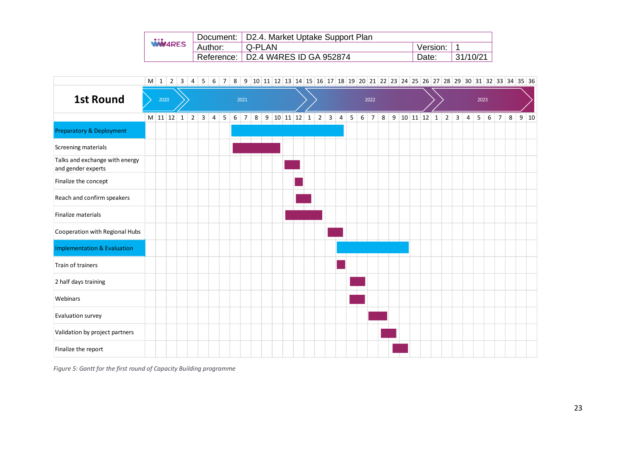| $\bullet\bullet\bullet$ |         | Document:   D2.4. Market Uptake Support Plan |          |          |
|-------------------------|---------|----------------------------------------------|----------|----------|
| <b>WW4RES</b>           | Author: | O-PI AN                                      | Version: |          |
|                         |         | Reference:   D2.4 W4RES ID GA 952874         | Date:    | 31/10/21 |

|                                                      |      |           |                 |                |                |                |                 |            |   |   |  |              |  |            |   |                |   | M   1   2   3   4   5   6   7   8   9   10   11   12   13   14   15   16   17   18   19   20   21   22   23   24   25   26   27   28   29   30   31   32   33   34   35   36 |   |   |          |              |                |              |                |      |   |                |   |      |  |
|------------------------------------------------------|------|-----------|-----------------|----------------|----------------|----------------|-----------------|------------|---|---|--|--------------|--|------------|---|----------------|---|------------------------------------------------------------------------------------------------------------------------------------------------------------------------------|---|---|----------|--------------|----------------|--------------|----------------|------|---|----------------|---|------|--|
| <b>1st Round</b>                                     | 2020 |           |                 |                |                |                |                 | 2021       |   |   |  |              |  |            |   |                |   | 2022                                                                                                                                                                         |   |   |          |              |                |              |                | 2023 |   |                |   |      |  |
|                                                      |      | $M$ 11 12 | $^+$ 1 $^{\pm}$ | $\overline{2}$ | $\overline{3}$ | $\overline{4}$ | $5\phantom{.0}$ | $6 \mid 7$ | 8 | 9 |  | $10$ 11 12 1 |  | $2 \mid 3$ | 4 | 5 <sub>1</sub> | 6 | $\overline{7}$                                                                                                                                                               | 8 | 9 | 10 11 12 | $\mathbf{1}$ | $\overline{2}$ | $\mathbf{3}$ | $\overline{4}$ | 5    | 6 | $\overline{7}$ | 8 | 9 10 |  |
| <b>Preparatory &amp; Deployment</b>                  |      |           |                 |                |                |                |                 |            |   |   |  |              |  |            |   |                |   |                                                                                                                                                                              |   |   |          |              |                |              |                |      |   |                |   |      |  |
| Screening materials                                  |      |           |                 |                |                |                |                 |            |   |   |  |              |  |            |   |                |   |                                                                                                                                                                              |   |   |          |              |                |              |                |      |   |                |   |      |  |
| Talks and exchange with energy<br>and gender experts |      |           |                 |                |                |                |                 |            |   |   |  |              |  |            |   |                |   |                                                                                                                                                                              |   |   |          |              |                |              |                |      |   |                |   |      |  |
| Finalize the concept                                 |      |           |                 |                |                |                |                 |            |   |   |  |              |  |            |   |                |   |                                                                                                                                                                              |   |   |          |              |                |              |                |      |   |                |   |      |  |
| Reach and confirm speakers                           |      |           |                 |                |                |                |                 |            |   |   |  |              |  |            |   |                |   |                                                                                                                                                                              |   |   |          |              |                |              |                |      |   |                |   |      |  |
| Finalize materials                                   |      |           |                 |                |                |                |                 |            |   |   |  |              |  |            |   |                |   |                                                                                                                                                                              |   |   |          |              |                |              |                |      |   |                |   |      |  |
| Cooperation with Regional Hubs                       |      |           |                 |                |                |                |                 |            |   |   |  |              |  |            |   |                |   |                                                                                                                                                                              |   |   |          |              |                |              |                |      |   |                |   |      |  |
| <b>Implementation &amp; Evaluation</b>               |      |           |                 |                |                |                |                 |            |   |   |  |              |  |            |   |                |   |                                                                                                                                                                              |   |   |          |              |                |              |                |      |   |                |   |      |  |
| Train of trainers                                    |      |           |                 |                |                |                |                 |            |   |   |  |              |  |            |   |                |   |                                                                                                                                                                              |   |   |          |              |                |              |                |      |   |                |   |      |  |
| 2 half days training                                 |      |           |                 |                |                |                |                 |            |   |   |  |              |  |            |   |                |   |                                                                                                                                                                              |   |   |          |              |                |              |                |      |   |                |   |      |  |
| Webinars                                             |      |           |                 |                |                |                |                 |            |   |   |  |              |  |            |   |                |   |                                                                                                                                                                              |   |   |          |              |                |              |                |      |   |                |   |      |  |
| Evaluation survey                                    |      |           |                 |                |                |                |                 |            |   |   |  |              |  |            |   |                |   |                                                                                                                                                                              |   |   |          |              |                |              |                |      |   |                |   |      |  |
| Validation by project partners                       |      |           |                 |                |                |                |                 |            |   |   |  |              |  |            |   |                |   |                                                                                                                                                                              |   |   |          |              |                |              |                |      |   |                |   |      |  |
| Finalize the report                                  |      |           |                 |                |                |                |                 |            |   |   |  |              |  |            |   |                |   |                                                                                                                                                                              |   |   |          |              |                |              |                |      |   |                |   |      |  |

 $\frac{1}{2}$  3  $\frac{1}{2}$  3  $\frac{1}{2}$  12  $\frac{1}{2}$  12  $\frac{1}{2}$  3  $\frac{1}{2}$  3  $\frac{1}{2}$  3  $\frac{1}{2}$  3  $\frac{1}{2}$  3  $\frac{1}{2}$  3  $\frac{1}{2}$  3  $\frac{1}{2}$  3  $\frac{1}{2}$  3  $\frac{1}{2}$  3  $\frac{1}{2}$  3  $\frac{1}{2}$  3  $\frac{1}{2}$  3  $\frac{1}{2}$  3  $\frac$ 

<span id="page-22-0"></span>Re *Figure 5: Gantt for the first round of Capacity Building programme*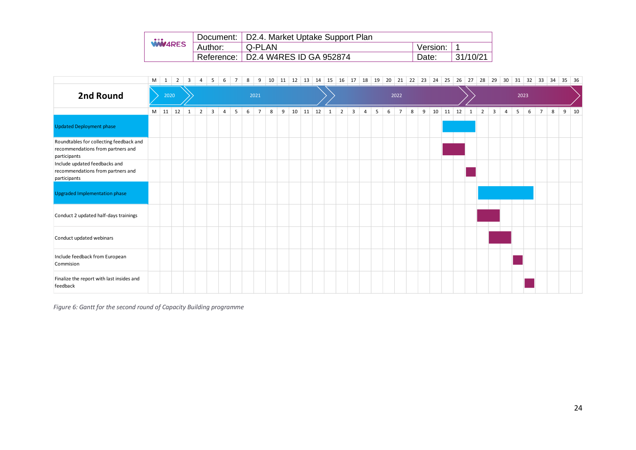| $\bullet\bullet\bullet$ |         | Document:   D2.4. Market Uptake Support Plan |          |          |
|-------------------------|---------|----------------------------------------------|----------|----------|
| <b>WW4RES</b>           | Author: | Q-PLAN                                       | Version: |          |
|                         |         | D2.4 W4RES ID GA 952874                      | Date:    | 31/10/21 |

#### M 1 2 3 4 5 6 7 8 9 10 11 12 13 14 15 16 17 18 19 20 21 22 23 24 25 26 27 28 29 30 31 32 33 34 35 36

| 2nd Round                                                                                    |        | 2020 |   |                |                         |                |       |   | 2021           |   |   |    |                     |                |                         |                |                 |                 | 2022           |   |   |              |  |                |                |                | 2023           |   |                |   |   |    |
|----------------------------------------------------------------------------------------------|--------|------|---|----------------|-------------------------|----------------|-------|---|----------------|---|---|----|---------------------|----------------|-------------------------|----------------|-----------------|-----------------|----------------|---|---|--------------|--|----------------|----------------|----------------|----------------|---|----------------|---|---|----|
|                                                                                              | $M$ 11 | 12   | 1 | $\overline{2}$ | $\overline{\mathbf{3}}$ | $\overline{4}$ | $5-1$ | 6 | $\overline{7}$ | 8 | 9 | 10 | $11 \mid 12 \mid 1$ | $\overline{2}$ | $\overline{\mathbf{3}}$ | $\overline{4}$ | $5\overline{)}$ | $6\overline{6}$ | $\overline{7}$ | 8 | 9 | $10$ 11 12 1 |  | $\overline{2}$ | $\overline{3}$ | $\overline{4}$ | 5 <sup>1</sup> | 6 | 7 <sup>7</sup> | 8 | 9 | 10 |
| <b>Updated Deployment phase</b>                                                              |        |      |   |                |                         |                |       |   |                |   |   |    |                     |                |                         |                |                 |                 |                |   |   |              |  |                |                |                |                |   |                |   |   |    |
| Roundtables for collecting feedback and<br>recommendations from partners and<br>participants |        |      |   |                |                         |                |       |   |                |   |   |    |                     |                |                         |                |                 |                 |                |   |   |              |  |                |                |                |                |   |                |   |   |    |
| Include updated feedbacks and<br>recommendations from partners and<br>participants           |        |      |   |                |                         |                |       |   |                |   |   |    |                     |                |                         |                |                 |                 |                |   |   |              |  |                |                |                |                |   |                |   |   |    |
| <b>Upgraded Implementation phase</b>                                                         |        |      |   |                |                         |                |       |   |                |   |   |    |                     |                |                         |                |                 |                 |                |   |   |              |  |                |                |                |                |   |                |   |   |    |
| Conduct 2 updated half-days trainings                                                        |        |      |   |                |                         |                |       |   |                |   |   |    |                     |                |                         |                |                 |                 |                |   |   |              |  |                |                |                |                |   |                |   |   |    |
| Conduct updated webinars                                                                     |        |      |   |                |                         |                |       |   |                |   |   |    |                     |                |                         |                |                 |                 |                |   |   |              |  |                |                |                |                |   |                |   |   |    |
| Include feedback from European<br>Commision                                                  |        |      |   |                |                         |                |       |   |                |   |   |    |                     |                |                         |                |                 |                 |                |   |   |              |  |                |                |                |                |   |                |   |   |    |
| Finalize the report with last insides and<br>feedback                                        |        |      |   |                |                         |                |       |   |                |   |   |    |                     |                |                         |                |                 |                 |                |   |   |              |  |                |                |                |                |   |                |   |   |    |

<span id="page-23-0"></span>*Figure 6: Gantt for the second round of Capacity Building programme*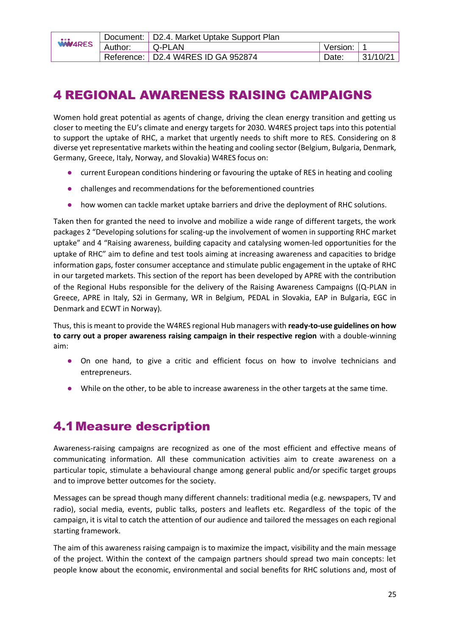| $\bullet\bullet\bullet$ |         | Document:   D2.4. Market Uptake Support Plan |          |           |
|-------------------------|---------|----------------------------------------------|----------|-----------|
| <b>WW4RES</b>           | Author: | Q-PLAN                                       | Version: |           |
|                         |         | Reference:   D2.4 W4RES ID GA 952874         | Date:    | 131/10/21 |

#### <span id="page-24-0"></span>4 REGIONAL AWARENESS RAISING CAMPAIGNS

Women hold great potential as agents of change, driving the clean energy transition and getting us closer to meeting the EU's climate and energy targets for 2030. W4RES project taps into this potential to support the uptake of RHC, a market that urgently needs to shift more to RES. Considering on 8 diverse yet representative markets within the heating and cooling sector (Belgium, Bulgaria, Denmark, Germany, Greece, Italy, Norway, and Slovakia) W4RES focus on:

- current European conditions hindering or favouring the uptake of RES in heating and cooling
- challenges and recommendations for the beforementioned countries
- how women can tackle market uptake barriers and drive the deployment of RHC solutions.

in our targeted markets. This section of the report has been developed by APRE with the contribution Taken then for granted the need to involve and mobilize a wide range of different targets, the work packages 2 "Developing solutions for scaling-up the involvement of women in supporting RHC market uptake" and 4 "Raising awareness, building capacity and catalysing women-led opportunities for the uptake of RHC" aim to define and test tools aiming at increasing awareness and capacities to bridge information gaps, foster consumer acceptance and stimulate public engagement in the uptake of RHC of the Regional Hubs responsible for the delivery of the Raising Awareness Campaigns ((Q-PLAN in Greece, APRE in Italy, S2i in Germany, WR in Belgium, PEDAL in Slovakia, EAP in Bulgaria, EGC in Denmark and ECWT in Norway).

Thus, this is meant to provide the W4RES regional Hub managers with **ready-to-use guidelines on how to carry out a proper awareness raising campaign in their respective region** with a double-winning aim:

- On one hand, to give a critic and efficient focus on how to involve technicians and entrepreneurs.
- While on the other, to be able to increase awareness in the other targets at the same time.

#### <span id="page-24-1"></span>4.1Measure description

Awareness-raising campaigns are recognized as one of the most efficient and effective means of communicating information. All these communication activities aim to create awareness on a particular topic, stimulate a behavioural change among general public and/or specific target groups and to improve better outcomes for the society.

Messages can be spread though many different channels: traditional media (e.g. newspapers, TV and radio), social media, events, public talks, posters and leaflets etc. Regardless of the topic of the campaign, it is vital to catch the attention of our audience and tailored the messages on each regional starting framework.

The aim of this awareness raising campaign is to maximize the impact, visibility and the main message of the project. Within the context of the campaign partners should spread two main concepts: let people know about the economic, environmental and social benefits for RHC solutions and, most of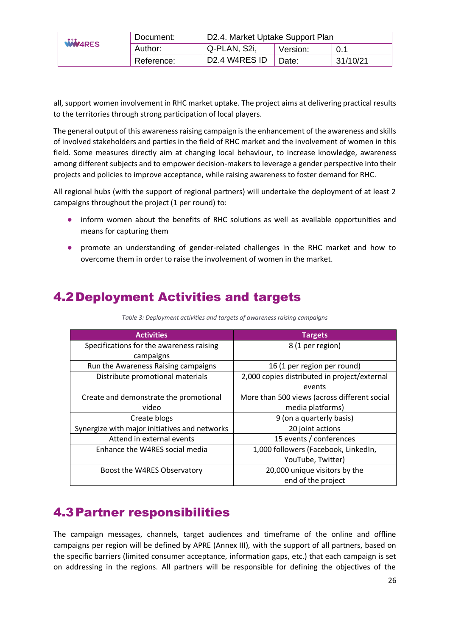| <b>WW4RES</b> | Document:  | D <sub>2</sub> .4. Market Uptake Support Plan |          |          |
|---------------|------------|-----------------------------------------------|----------|----------|
|               | Author:    | Q-PLAN, S2i,                                  | Version: | 0.1      |
|               | Reference: | D <sub>2</sub> .4 W <sub>4</sub> RES ID       | Date:    | 31/10/21 |
|               |            |                                               |          |          |

all, support women involvement in RHC market uptake. The project aims at delivering practical results to the territories through strong participation of local players.

The general output of this awareness raising campaign is the enhancement of the awareness and skills of involved stakeholders and parties in the field of RHC market and the involvement of women in this field. Some measures directly aim at changing local behaviour, to increase knowledge, awareness among different subjects and to empower decision-makers to leverage a gender perspective into their projects and policies to improve acceptance, while raising awareness to foster demand for RHC.

R All regional hubs (with the support of regional partners) will undertake the deployment of at least 2 campaigns throughout the project (1 per round) to:

- inform women about the benefits of RHC solutions as well as available opportunities and means for capturing them
- promote an understanding of gender-related challenges in the RHC market and how to overcome them in order to raise the involvement of women in the market.

#### <span id="page-25-0"></span>4.2Deployment Activities and targets

<span id="page-25-2"></span>

| <b>Activities</b>                             | <b>Targets</b>                               |
|-----------------------------------------------|----------------------------------------------|
| Specifications for the awareness raising      | 8 (1 per region)                             |
| campaigns                                     |                                              |
| Run the Awareness Raising campaigns           | 16 (1 per region per round)                  |
| Distribute promotional materials              | 2,000 copies distributed in project/external |
|                                               | events                                       |
| Create and demonstrate the promotional        | More than 500 views (across different social |
| video                                         | media platforms)                             |
| Create blogs                                  | 9 (on a quarterly basis)                     |
| Synergize with major initiatives and networks | 20 joint actions                             |
| Attend in external events                     | 15 events / conferences                      |
| Enhance the W4RES social media                | 1,000 followers (Facebook, LinkedIn,         |
|                                               | YouTube, Twitter)                            |
| Boost the W4RES Observatory                   | 20,000 unique visitors by the                |
|                                               | end of the project                           |

*Table 3: Deployment activities and targets of awareness raising campaigns*

#### <span id="page-25-1"></span>4.3Partner responsibilities

The campaign messages, channels, target audiences and timeframe of the online and offline campaigns per region will be defined by APRE (Annex III), with the support of all partners, based on the specific barriers (limited consumer acceptance, information gaps, etc.) that each campaign is set on addressing in the regions. All partners will be responsible for defining the objectives of the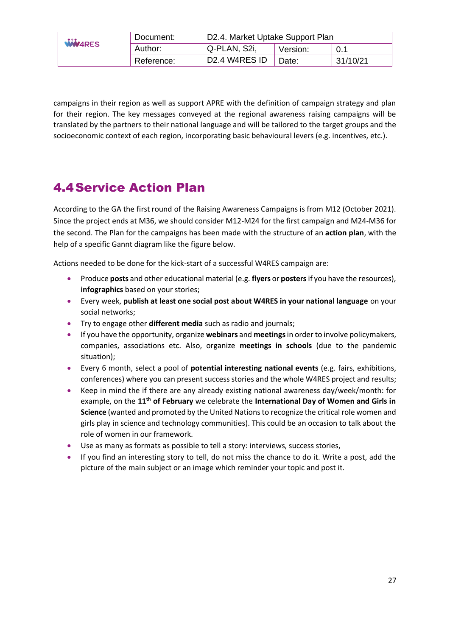| <b>WW4RES</b> | Document:  | D <sub>2</sub> .4. Market Uptake Support Plan |          |          |
|---------------|------------|-----------------------------------------------|----------|----------|
|               | Author:    | Q-PLAN, S2i,                                  | Version: | 0.1      |
|               | Reference: | D <sub>2.4</sub> W <sub>4</sub> RES ID        | Date:    | 31/10/21 |
|               |            |                                               |          |          |

campaigns in their region as well as support APRE with the definition of campaign strategy and plan for their region. The key messages conveyed at the regional awareness raising campaigns will be translated by the partners to their national language and will be tailored to the target groups and the socioeconomic context of each region, incorporating basic behavioural levers (e.g. incentives, etc.).

# <span id="page-26-0"></span>R 4.4Service Action Plan

According to the GA the first round of the Raising Awareness Campaigns is from M12 (October 2021). Since the project ends at M36, we should consider M12-M24 for the first campaign and M24-M36 for the second. The Plan for the campaigns has been made with the structure of an **action plan**, with the help of a specific Gannt diagram like the figure below.

Actions needed to be done for the kick-start of a successful W4RES campaign are:

- **•** Produce posts and other educational material (e.g. flyers or posters if you have the resources), **infographics** based on your stories;
- Every week, **publish at least one social post about W4RES in your national language** on your social networks;
- Try to engage other **different media** such as radio and journals;
- If you have the opportunity, organize **webinars** and **meetings** in order to involve policymakers, companies, associations etc. Also, organize **meetings in schools** (due to the pandemic situation);
- Every 6 month, select a pool of **potential interesting national events** (e.g. fairs, exhibitions, conferences) where you can present success stories and the whole W4RES project and results;
- Keep in mind the if there are any already existing national awareness day/week/month: for example, on the **11th of February** we celebrate the **International Day of Women and Girls in Science** (wanted and promoted by the United Nations to recognize the critical role women and girls play in science and technology communities). This could be an occasion to talk about the role of women in our framework.
- Use as many as formats as possible to tell a story: interviews, success stories,
- If you find an interesting story to tell, do not miss the chance to do it. Write a post, add the picture of the main subject or an image which reminder your topic and post it.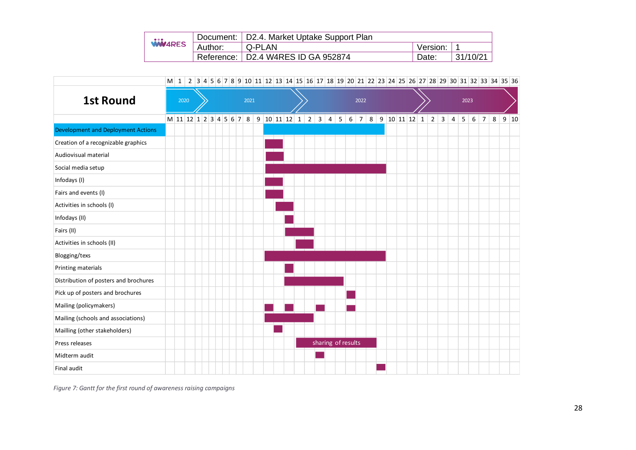|               |         | Document:   D2.4. Market Uptake Support Plan |          |          |
|---------------|---------|----------------------------------------------|----------|----------|
| <b>WW4RES</b> | Author: | Q-PLAN                                       | Version: |          |
|               |         | Reference:   D2.4 W4RES ID GA 952874         | Date:    | 31/10/21 |

|                                       |      |  |  |  |      |  |      |  |  | M 1 2 3 4 5 6 7 8 9 10 11 12 13 14 15 16 17 18 19 20 21 22 23 24 25 26 27 28 29 30 31 32 33 34 35 36 |      |  |  |  |  |                |                 |   |                |   |      |
|---------------------------------------|------|--|--|--|------|--|------|--|--|------------------------------------------------------------------------------------------------------|------|--|--|--|--|----------------|-----------------|---|----------------|---|------|
| <b>1st Round</b>                      | 2020 |  |  |  | 2021 |  |      |  |  |                                                                                                      | 2022 |  |  |  |  |                | 2023            |   |                |   |      |
|                                       |      |  |  |  |      |  |      |  |  | M 11 12 1 2 3 4 5 6 7 8 9 10 11 12 1 2 3 4 5 6 7 8 9 10 11 12 1 2 3                                  |      |  |  |  |  | $\overline{4}$ | $5\overline{)}$ | 6 | $\overline{7}$ | 8 | 9 10 |
| Development and Deployment Actions    |      |  |  |  |      |  |      |  |  |                                                                                                      |      |  |  |  |  |                |                 |   |                |   |      |
| Creation of a recognizable graphics   |      |  |  |  |      |  |      |  |  |                                                                                                      |      |  |  |  |  |                |                 |   |                |   |      |
| Audiovisual material                  |      |  |  |  |      |  |      |  |  |                                                                                                      |      |  |  |  |  |                |                 |   |                |   |      |
| Social media setup                    |      |  |  |  |      |  |      |  |  |                                                                                                      |      |  |  |  |  |                |                 |   |                |   |      |
| Infodays (I)                          |      |  |  |  |      |  | a ka |  |  |                                                                                                      |      |  |  |  |  |                |                 |   |                |   |      |
| Fairs and events (I)                  |      |  |  |  |      |  | ⊤    |  |  |                                                                                                      |      |  |  |  |  |                |                 |   |                |   |      |
| Activities in schools (I)             |      |  |  |  |      |  |      |  |  |                                                                                                      |      |  |  |  |  |                |                 |   |                |   |      |
| Infodays (II)                         |      |  |  |  |      |  |      |  |  |                                                                                                      |      |  |  |  |  |                |                 |   |                |   |      |
| Fairs (II)                            |      |  |  |  |      |  |      |  |  |                                                                                                      |      |  |  |  |  |                |                 |   |                |   |      |
| Activities in schools (II)            |      |  |  |  |      |  |      |  |  |                                                                                                      |      |  |  |  |  |                |                 |   |                |   |      |
| Blogging/texs                         |      |  |  |  |      |  |      |  |  |                                                                                                      |      |  |  |  |  |                |                 |   |                |   |      |
| Printing materials                    |      |  |  |  |      |  |      |  |  |                                                                                                      |      |  |  |  |  |                |                 |   |                |   |      |
| Distribution of posters and brochures |      |  |  |  |      |  |      |  |  |                                                                                                      |      |  |  |  |  |                |                 |   |                |   |      |
| Pick up of posters and brochures      |      |  |  |  |      |  |      |  |  |                                                                                                      |      |  |  |  |  |                |                 |   |                |   |      |
| Mailing (policymakers)                |      |  |  |  |      |  |      |  |  |                                                                                                      |      |  |  |  |  |                |                 |   |                |   |      |
| Mailing (schools and associations)    |      |  |  |  |      |  |      |  |  |                                                                                                      |      |  |  |  |  |                |                 |   |                |   |      |
| Mailling (other stakeholders)         |      |  |  |  |      |  |      |  |  |                                                                                                      |      |  |  |  |  |                |                 |   |                |   |      |
| Press releases                        |      |  |  |  |      |  |      |  |  | sharing of results                                                                                   |      |  |  |  |  |                |                 |   |                |   |      |
| Midterm audit                         |      |  |  |  |      |  |      |  |  |                                                                                                      |      |  |  |  |  |                |                 |   |                |   |      |
| Final audit                           |      |  |  |  |      |  |      |  |  |                                                                                                      |      |  |  |  |  |                |                 |   |                |   |      |

M 1 2 3 4 5 6 7 8 9 10 11 12 13 14 15 16 17 18 19 20 21 22 23 24 25 26 27 28 29 30 31 32 33 34 35 36

<span id="page-27-0"></span>*Figure 7: Gantt for the first round of awareness raising campaigns*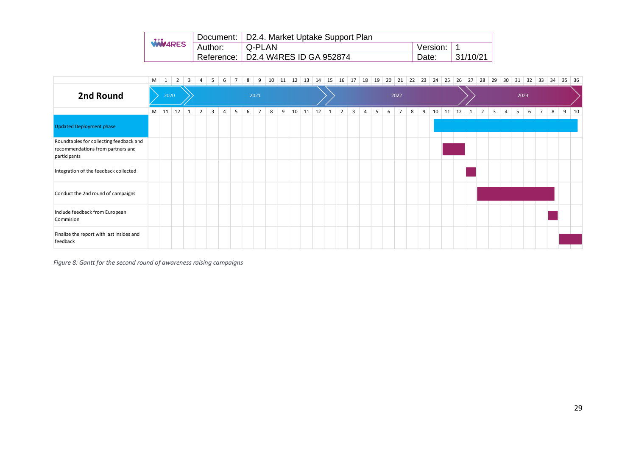| $\bullet\bullet\bullet$ |            | Document:   D2.4. Market Uptake Support Plan |          |          |
|-------------------------|------------|----------------------------------------------|----------|----------|
| <b>WW4RES</b>           | Author:    | Q-PLAN                                       | Version: |          |
|                         | Reference: | D2.4 W4RES ID GA 952874                      | Date:    | 31/10/21 |

#### M 1 2 3 4 5 6 7 8 9 10 11 12 13 14 15 16 17 18 19 20 21 22 23 24 25 26 27 28 29 30 31 32 33 34 35 36

| 2nd Round                                                                                    |   | 2020 |              |   |                |                |                |   |   | 2021           |   |   |  |                      |              |                |                         |                |   |   | 2022           |   |   |    |         |   |                |              |   | 2023 |   |                 |   |   |    |
|----------------------------------------------------------------------------------------------|---|------|--------------|---|----------------|----------------|----------------|---|---|----------------|---|---|--|----------------------|--------------|----------------|-------------------------|----------------|---|---|----------------|---|---|----|---------|---|----------------|--------------|---|------|---|-----------------|---|---|----|
|                                                                                              | M |      | $11 \mid 12$ | 1 | $\overline{2}$ | $\overline{3}$ | $\overline{4}$ | 5 | 6 | $\overline{7}$ | 8 | 9 |  | $10 \mid 11 \mid 12$ | $\mathbf{1}$ | $\overline{2}$ | $\overline{\mathbf{3}}$ | $\overline{4}$ | 5 | 6 | $\overline{7}$ | 8 | 9 | 10 | $11$ 12 | 1 | $\overline{2}$ | $\mathbf{3}$ | 4 | 5    | 6 | $7\overline{ }$ | 8 | 9 | 10 |
| <b>Updated Deployment phase</b>                                                              |   |      |              |   |                |                |                |   |   |                |   |   |  |                      |              |                |                         |                |   |   |                |   |   |    |         |   |                |              |   |      |   |                 |   |   |    |
| Roundtables for collecting feedback and<br>recommendations from partners and<br>participants |   |      |              |   |                |                |                |   |   |                |   |   |  |                      |              |                |                         |                |   |   |                |   |   |    |         |   |                |              |   |      |   |                 |   |   |    |
| Integration of the feedback collected                                                        |   |      |              |   |                |                |                |   |   |                |   |   |  |                      |              |                |                         |                |   |   |                |   |   |    |         |   |                |              |   |      |   |                 |   |   |    |
| Conduct the 2nd round of campaigns                                                           |   |      |              |   |                |                |                |   |   |                |   |   |  |                      |              |                |                         |                |   |   |                |   |   |    |         |   |                |              |   |      |   |                 |   |   |    |
| Include feedback from European<br>Commision                                                  |   |      |              |   |                |                |                |   |   |                |   |   |  |                      |              |                |                         |                |   |   |                |   |   |    |         |   |                |              |   |      |   |                 |   |   |    |
| Finalize the report with last insides and<br>feedback                                        |   |      |              |   |                |                |                |   |   |                |   |   |  |                      |              |                |                         |                |   |   |                |   |   |    |         |   |                |              |   |      |   |                 |   |   |    |

<span id="page-28-0"></span>*Figure 8: Gantt for the second round of awareness raising campaigns*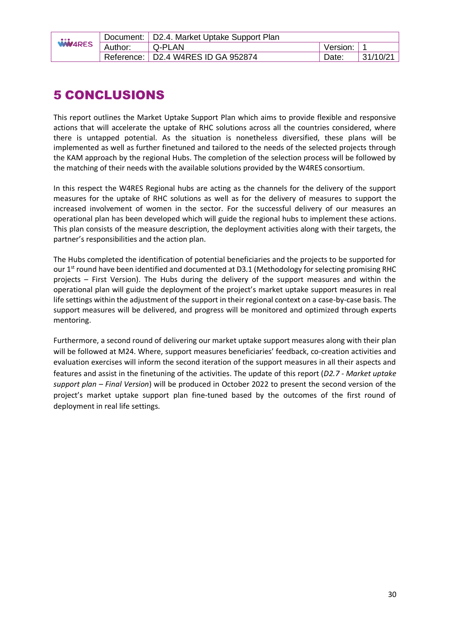| $\bullet\bullet\bullet$ |         | Document:   D2.4. Market Uptake Support Plan |          |          |
|-------------------------|---------|----------------------------------------------|----------|----------|
| <b>WW4RES</b>           | Author: | Q-PLAN                                       | Version: |          |
|                         |         | Reference:   D2.4 W4RES ID GA 952874         | Date:    | 31/10/21 |

#### <span id="page-29-0"></span>5 CONCLUSIONS

This report outlines the Market Uptake Support Plan which aims to provide flexible and responsive actions that will accelerate the uptake of RHC solutions across all the countries considered, where there is untapped potential. As the situation is nonetheless diversified, these plans will be implemented as well as further finetuned and tailored to the needs of the selected projects through the KAM approach by the regional Hubs. The completion of the selection process will be followed by the matching of their needs with the available solutions provided by the W4RES consortium.

In this respect the W4RES Regional hubs are acting as the channels for the delivery of the support measures for the uptake of RHC solutions as well as for the delivery of measures to support the increased involvement of women in the sector. For the successful delivery of our measures an operational plan has been developed which will guide the regional hubs to implement these actions. This plan consists of the measure description, the deployment activities along with their targets, the partner's responsibilities and the action plan.

projects – First Version). The Hubs during the delivery of the support measures and within the The Hubs completed the identification of potential beneficiaries and the projects to be supported for our 1<sup>st</sup> round have been identified and documented at D3.1 (Methodology for selecting promising RHC operational plan will guide the deployment of the project's market uptake support measures in real life settings within the adjustment of the support in their regional context on a case-by-case basis. The support measures will be delivered, and progress will be monitored and optimized through experts mentoring.

evaluation exercises will inform the second iteration of the support measures in all their aspects and Furthermore, a second round of delivering our market uptake support measures along with their plan will be followed at M24. Where, support measures beneficiaries' feedback, co-creation activities and features and assist in the finetuning of the activities. The update of this report (*D2.7 - Market uptake support plan – Final Version*) will be produced in October 2022 to present the second version of the project's market uptake support plan fine-tuned based by the outcomes of the first round of deployment in real life settings.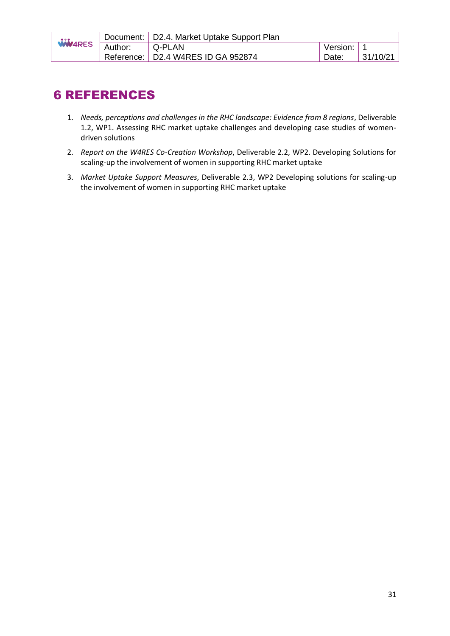| $\bullet\bullet\bullet$ |         | Document:   D2.4. Market Uptake Support Plan |          |          |
|-------------------------|---------|----------------------------------------------|----------|----------|
| <b>WW4RES</b>           | Author: | Q-PLAN                                       | Version: |          |
|                         |         | Reference:   D2.4 W4RES ID GA 952874         | Date:    | 31/10/21 |

#### <span id="page-30-0"></span>6 REFERENCES

- 1. *Needs, perceptions and challenges in the RHC landscape: Evidence from 8 regions*, Deliverable 1.2, WP1. Assessing RHC market uptake challenges and developing case studies of womendriven solutions
- 2. *Report on the W4RES Co-Creation Workshop*, Deliverable 2.2, WP2. Developing Solutions for scaling-up the involvement of women in supporting RHC market uptake
- the involvement of women in supporting RHC market uptake 3. *Market Uptake Support Measures*, Deliverable 2.3, WP2 Developing solutions for scaling-up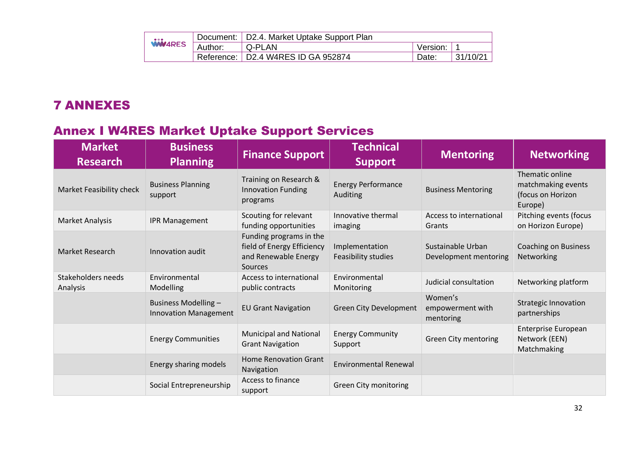| $\bullet\bullet\bullet$ |         | Document:   D2.4. Market Uptake Support Plan |          |          |
|-------------------------|---------|----------------------------------------------|----------|----------|
| <b>WW4RES</b>           | Author: | Q-PI AN                                      | Version: |          |
|                         |         | Reference:   D2.4 W4RES ID GA 952874         | Date:    | 31/10/21 |

#### 7 ANNEXES

### Annex I W4RES Market Uptake Support Services

<span id="page-31-0"></span>

| <b>Market</b><br><b>Research</b> | <b>Business</b><br><b>Planning</b>                          | <b>Finance Support</b>                                                                   | <b>Technical</b><br><b>Support</b>    | <b>Mentoring</b>                           | <b>Networking</b>                                                     |
|----------------------------------|-------------------------------------------------------------|------------------------------------------------------------------------------------------|---------------------------------------|--------------------------------------------|-----------------------------------------------------------------------|
| Market Feasibility check         | <b>Business Planning</b><br>support                         | Training on Research &<br><b>Innovation Funding</b><br>programs                          | <b>Energy Performance</b><br>Auditing | <b>Business Mentoring</b>                  | Thematic online<br>matchmaking events<br>(focus on Horizon<br>Europe) |
| Market Analysis                  | <b>IPR Management</b>                                       | Scouting for relevant<br>funding opportunities                                           | Innovative thermal<br>imaging         | Access to international<br>Grants          | Pitching events (focus<br>on Horizon Europe)                          |
| Market Research                  | Innovation audit                                            | Funding programs in the<br>field of Energy Efficiency<br>and Renewable Energy<br>Sources | Implementation<br>Feasibility studies | Sustainable Urban<br>Development mentoring | <b>Coaching on Business</b><br>Networking                             |
| Stakeholders needs<br>Analysis   | Environmental<br>Modelling                                  | Access to international<br>public contracts                                              | Environmental<br>Monitoring           | Judicial consultation                      | Networking platform                                                   |
|                                  | <b>Business Modelling -</b><br><b>Innovation Management</b> | <b>EU Grant Navigation</b>                                                               | <b>Green City Development</b>         | Women's<br>empowerment with<br>mentoring   | <b>Strategic Innovation</b><br>partnerships                           |
|                                  | <b>Energy Communities</b>                                   | <b>Municipal and National</b><br><b>Grant Navigation</b>                                 | <b>Energy Community</b><br>Support    | Green City mentoring                       | Enterprise European<br>Network (EEN)<br>Matchmaking                   |
|                                  | Energy sharing models                                       | <b>Home Renovation Grant</b><br>Navigation                                               | <b>Environmental Renewal</b>          |                                            |                                                                       |
|                                  | Social Entrepreneurship                                     | Access to finance<br>support                                                             | <b>Green City monitoring</b>          |                                            |                                                                       |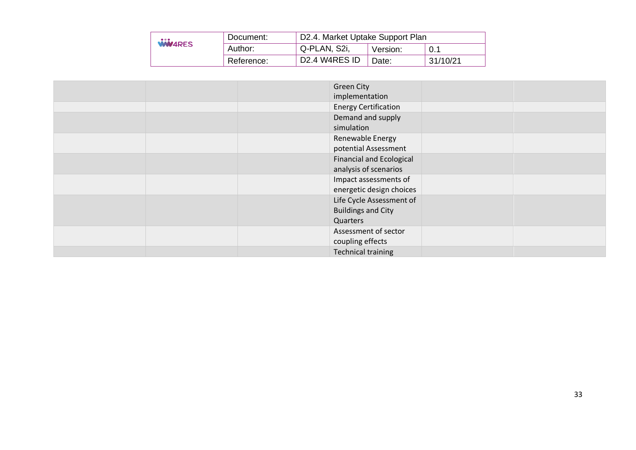|               |            |                                        | D2.4. Market Uptake Support Plan |          |
|---------------|------------|----------------------------------------|----------------------------------|----------|
| <b>WW4RES</b> | Author:    | Q-PLAN, S2i,                           | Version:                         | 0.1      |
|               | Reference: | D <sub>2.4</sub> W <sub>4</sub> RES ID | Date:                            | 31/10/21 |

| <b>Green City</b>               |  |
|---------------------------------|--|
| implementation                  |  |
| <b>Energy Certification</b>     |  |
| Demand and supply               |  |
| simulation                      |  |
| Renewable Energy                |  |
| potential Assessment            |  |
| <b>Financial and Ecological</b> |  |
| analysis of scenarios           |  |
| Impact assessments of           |  |
| energetic design choices        |  |
| Life Cycle Assessment of        |  |
| <b>Buildings and City</b>       |  |
| Quarters                        |  |
| Assessment of sector            |  |
| coupling effects                |  |
| <b>Technical training</b>       |  |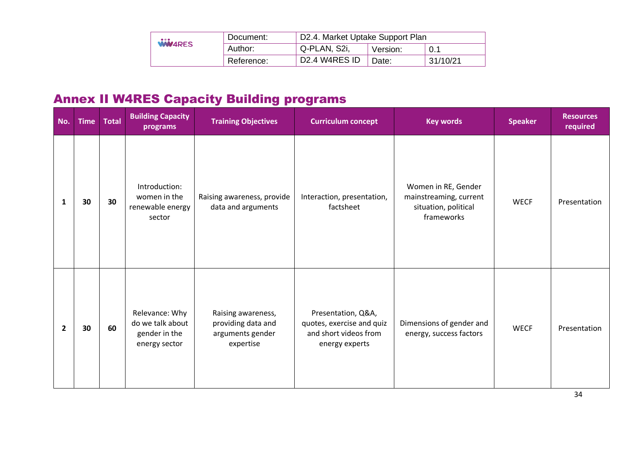| $\bullet\bullet\bullet$ | Document:  | D2.4. Market Uptake Support Plan       |          |          |
|-------------------------|------------|----------------------------------------|----------|----------|
| <b>WW4RES</b>           | Author:    | Q-PLAN, S2i,                           | Version: | 0.1      |
|                         | Reference: | D <sub>2.4</sub> W <sub>4</sub> RES ID | Date:    | 31/10/21 |
|                         |            |                                        |          |          |

# **Annex II W4RES Capacity Building programs**

| No.            | <b>Time</b> | <b>Total</b> | <b>Building Capacity</b><br>programs                                 | <b>Training Objectives</b>                                                | <b>Curriculum concept</b>                                                                  | <b>Key words</b>                                                                    | <b>Speaker</b> | <b>Resources</b><br>required |
|----------------|-------------|--------------|----------------------------------------------------------------------|---------------------------------------------------------------------------|--------------------------------------------------------------------------------------------|-------------------------------------------------------------------------------------|----------------|------------------------------|
| 1              | 30          | 30           | Introduction:<br>women in the<br>renewable energy<br>sector          | Raising awareness, provide<br>data and arguments                          | Interaction, presentation,<br>factsheet                                                    | Women in RE, Gender<br>mainstreaming, current<br>situation, political<br>frameworks | <b>WECF</b>    | Presentation                 |
| $\overline{2}$ | 30          | 60           | Relevance: Why<br>do we talk about<br>gender in the<br>energy sector | Raising awareness,<br>providing data and<br>arguments gender<br>expertise | Presentation, Q&A,<br>quotes, exercise and quiz<br>and short videos from<br>energy experts | Dimensions of gender and<br>energy, success factors                                 | <b>WECF</b>    | Presentation                 |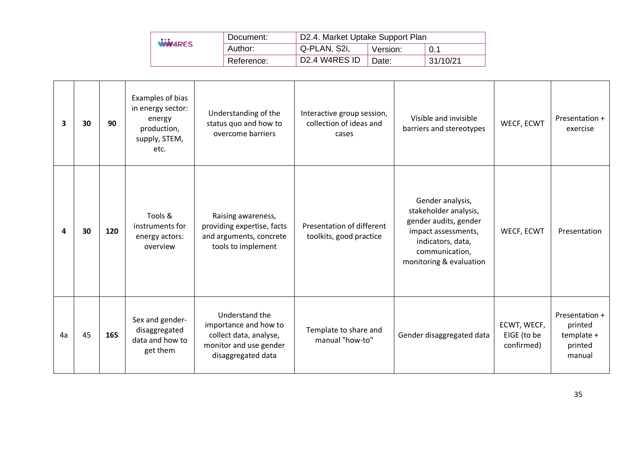| <b>WW4RES</b> | Document:  | D <sub>2</sub> .4. Market Uptake Support Plan |          |          |
|---------------|------------|-----------------------------------------------|----------|----------|
|               | Author:    | Q-PLAN, S2i,                                  | Version: | 0.1      |
|               | Reference: | D <sub>2.4</sub> W <sub>4</sub> RES ID        | Date:    | 31/10/21 |
|               |            |                                               |          |          |

| 3  | 30 | 90  | Examples of bias<br>in energy sector:<br>energy<br>production,<br>supply, STEM,<br>etc. | Understanding of the<br>status quo and how to<br>overcome barriers                                                | Interactive group session,<br>collection of ideas and<br>cases | Visible and invisible<br>barriers and stereotypes                                                                                                           | WECF, ECWT                               | Presentation +<br>exercise                                   |
|----|----|-----|-----------------------------------------------------------------------------------------|-------------------------------------------------------------------------------------------------------------------|----------------------------------------------------------------|-------------------------------------------------------------------------------------------------------------------------------------------------------------|------------------------------------------|--------------------------------------------------------------|
| 4  | 30 | 120 | Tools &<br>instruments for<br>energy actors:<br>overview                                | Raising awareness,<br>providing expertise, facts<br>and arguments, concrete<br>tools to implement                 | Presentation of different<br>toolkits, good practice           | Gender analysis,<br>stakeholder analysis,<br>gender audits, gender<br>impact assessments,<br>indicators, data,<br>communication,<br>monitoring & evaluation | WECF, ECWT                               | Presentation                                                 |
| 4a | 45 | 165 | Sex and gender-<br>disaggregated<br>data and how to<br>get them                         | Understand the<br>importance and how to<br>collect data, analyse,<br>monitor and use gender<br>disaggregated data | Template to share and<br>manual "how-to"                       | Gender disaggregated data                                                                                                                                   | ECWT, WECF,<br>EIGE (to be<br>confirmed) | Presentation +<br>printed<br>template +<br>printed<br>manual |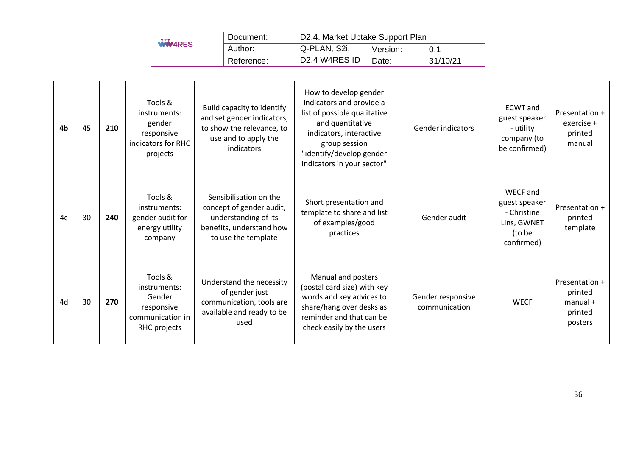| <b>WW4RES</b> | Document:  | D2.4. Market Uptake Support Plan       |          |          |
|---------------|------------|----------------------------------------|----------|----------|
|               | Author:    | Q-PLAN, S2i,                           | Version: | 0.1      |
|               | Reference: | D <sub>2.4</sub> W <sub>4</sub> RES ID | Date:    | 31/10/21 |
|               |            |                                        |          |          |

| 4b | 45 | 210 | Tools &<br>instruments:<br>gender<br>responsive<br>indicators for RHC<br>projects   | Build capacity to identify<br>and set gender indicators,<br>to show the relevance, to<br>use and to apply the<br>indicators   | How to develop gender<br>indicators and provide a<br>list of possible qualitative<br>and quantitative<br>indicators, interactive<br>group session<br>"identify/develop gender<br>indicators in your sector" | <b>Gender indicators</b>           | <b>ECWT</b> and<br>guest speaker<br>- utility<br>company (to<br>be confirmed)   | Presentation +<br>exercise +<br>printed<br>manual           |
|----|----|-----|-------------------------------------------------------------------------------------|-------------------------------------------------------------------------------------------------------------------------------|-------------------------------------------------------------------------------------------------------------------------------------------------------------------------------------------------------------|------------------------------------|---------------------------------------------------------------------------------|-------------------------------------------------------------|
| 4c | 30 | 240 | Tools &<br>instruments:<br>gender audit for<br>energy utility<br>company            | Sensibilisation on the<br>concept of gender audit,<br>understanding of its<br>benefits, understand how<br>to use the template | Short presentation and<br>template to share and list<br>of examples/good<br>practices                                                                                                                       | Gender audit                       | WECF and<br>guest speaker<br>- Christine<br>Lins, GWNET<br>(to be<br>confirmed) | Presentation +<br>printed<br>template                       |
| 4d | 30 | 270 | Tools &<br>instruments:<br>Gender<br>responsive<br>communication in<br>RHC projects | Understand the necessity<br>of gender just<br>communication, tools are<br>available and ready to be<br>used                   | Manual and posters<br>(postal card size) with key<br>words and key advices to<br>share/hang over desks as<br>reminder and that can be<br>check easily by the users                                          | Gender responsive<br>communication | <b>WECF</b>                                                                     | Presentation +<br>printed<br>manual +<br>printed<br>posters |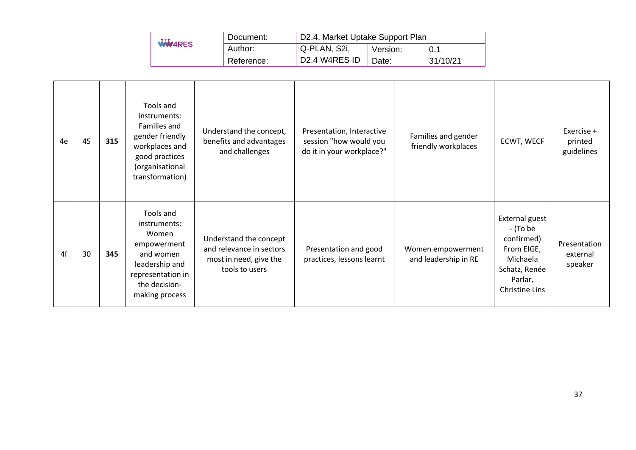| <b>WW4RES</b> | Document:  | D2.4. Market Uptake Support Plan       |          |          |
|---------------|------------|----------------------------------------|----------|----------|
|               | Author:    | Q-PLAN, S2i,                           | Version: | 0.1      |
|               | Reference: | D <sub>2.4</sub> W <sub>4</sub> RES ID | Date:    | 31/10/21 |
|               |            |                                        |          |          |

| 4e | 45 | 315 | Tools and<br>instruments:<br>Families and<br>gender friendly<br>workplaces and<br>good practices<br>(organisational<br>transformation)   | Understand the concept,<br>benefits and advantages<br>and challenges                           | Presentation, Interactive<br>session "how would you<br>do it in your workplace?" | Families and gender<br>friendly workplaces | ECWT, WECF                                                                                                                     | Exercise +<br>printed<br>guidelines |
|----|----|-----|------------------------------------------------------------------------------------------------------------------------------------------|------------------------------------------------------------------------------------------------|----------------------------------------------------------------------------------|--------------------------------------------|--------------------------------------------------------------------------------------------------------------------------------|-------------------------------------|
| 4f | 30 | 345 | Tools and<br>instruments:<br>Women<br>empowerment<br>and women<br>leadership and<br>representation in<br>the decision-<br>making process | Understand the concept<br>and relevance in sectors<br>most in need, give the<br>tools to users | Presentation and good<br>practices, lessons learnt                               | Women empowerment<br>and leadership in RE  | <b>External guest</b><br>- (To be<br>confirmed)<br>From EIGE,<br>Michaela<br>Schatz, Renée<br>Parlar,<br><b>Christine Lins</b> | Presentation<br>external<br>speaker |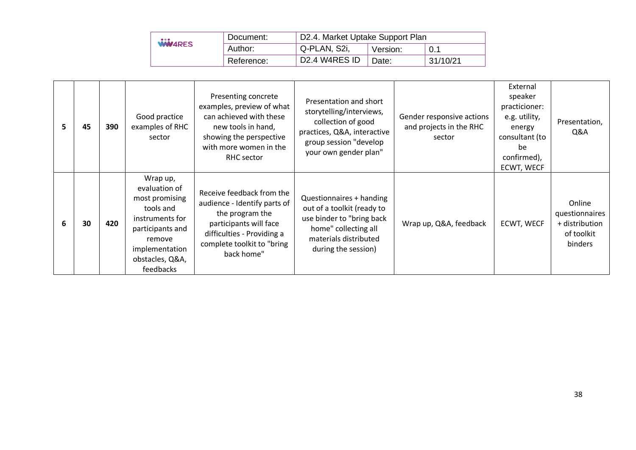| <b>WW4RES</b> | Document:  | D2.4. Market Uptake Support Plan |          |          |
|---------------|------------|----------------------------------|----------|----------|
|               | Author:    | Q-PLAN, S2i,                     | Version: | 0.1      |
|               | Reference: | D2.4 W4RES ID                    | Date:    | 31/10/21 |
|               |            |                                  |          |          |

|   | 45 | 390 | Good practice<br>examples of RHC<br>sector                                                                                                                  | Presenting concrete<br>examples, preview of what<br>can achieved with these<br>new tools in hand,<br>showing the perspective<br>with more women in the<br><b>RHC</b> sector      | Presentation and short<br>storytelling/interviews,<br>collection of good<br>practices, Q&A, interactive<br>group session "develop<br>your own gender plan"  | Gender responsive actions<br>and projects in the RHC<br>sector | External<br>speaker<br>practicioner:<br>e.g. utility,<br>energy<br>consultant (to<br>be<br>confirmed),<br>ECWT, WECF | Presentation,<br>Q&A                                                |
|---|----|-----|-------------------------------------------------------------------------------------------------------------------------------------------------------------|----------------------------------------------------------------------------------------------------------------------------------------------------------------------------------|-------------------------------------------------------------------------------------------------------------------------------------------------------------|----------------------------------------------------------------|----------------------------------------------------------------------------------------------------------------------|---------------------------------------------------------------------|
| 6 | 30 | 420 | Wrap up,<br>evaluation of<br>most promising<br>tools and<br>instruments for<br>participants and<br>remove<br>implementation<br>obstacles, Q&A,<br>feedbacks | Receive feedback from the<br>audience - Identify parts of<br>the program the<br>participants will face<br>difficulties - Providing a<br>complete toolkit to "bring<br>back home" | Questionnaires + handing<br>out of a toolkit (ready to<br>use binder to "bring back<br>home" collecting all<br>materials distributed<br>during the session) | Wrap up, Q&A, feedback                                         | ECWT, WECF                                                                                                           | Online<br>questionnaires<br>+ distribution<br>of toolkit<br>binders |